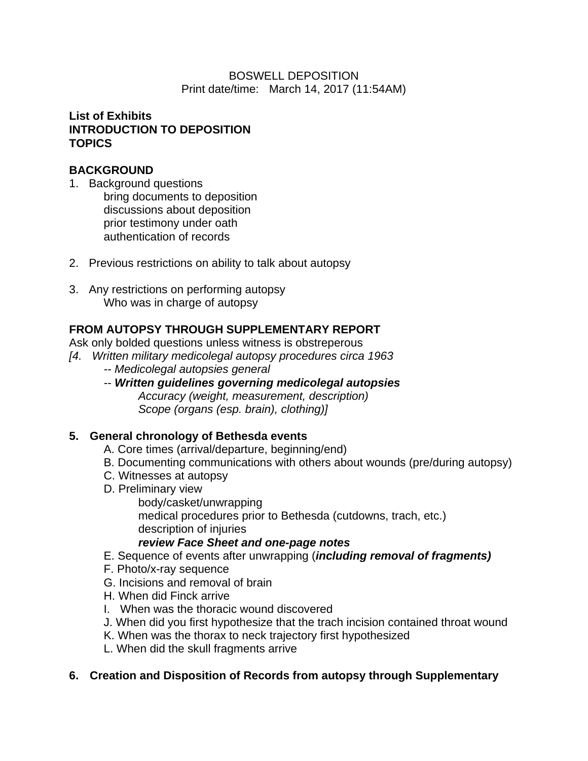## BOSWELL DEPOSITION Print date/time: March 14, 2017 (11:54AM)

# **List of Exhibits INTRODUCTION TO DEPOSITION TOPICS**

# **BACKGROUND**

- 1. Background questions
	- bring documents to deposition discussions about deposition prior testimony under oath authentication of records
- 2. Previous restrictions on ability to talk about autopsy
- 3. Any restrictions on performing autopsy Who was in charge of autopsy

# **FROM AUTOPSY THROUGH SUPPLEMENTARY REPORT**

Ask only bolded questions unless witness is obstreperous

- *[4. Written military medicolegal autopsy procedures circa 1963*
	- *-- Medicolegal autopsies general*
	- *-- Written guidelines governing medicolegal autopsies Accuracy (weight, measurement, description) Scope (organs (esp. brain), clothing)]*

# **5. General chronology of Bethesda events**

- A. Core times (arrival/departure, beginning/end)
- B. Documenting communications with others about wounds (pre/during autopsy)
- C. Witnesses at autopsy
- D. Preliminary view

body/casket/unwrapping medical procedures prior to Bethesda (cutdowns, trach, etc.) description of injuries

# *review Face Sheet and one-page notes*

- E. Sequence of events after unwrapping (*including removal of fragments)*
- F. Photo/x-ray sequence
- G. Incisions and removal of brain
- H. When did Finck arrive
- I. When was the thoracic wound discovered
- J. When did you first hypothesize that the trach incision contained throat wound
- K. When was the thorax to neck trajectory first hypothesized
- L. When did the skull fragments arrive

# **6. Creation and Disposition of Records from autopsy through Supplementary**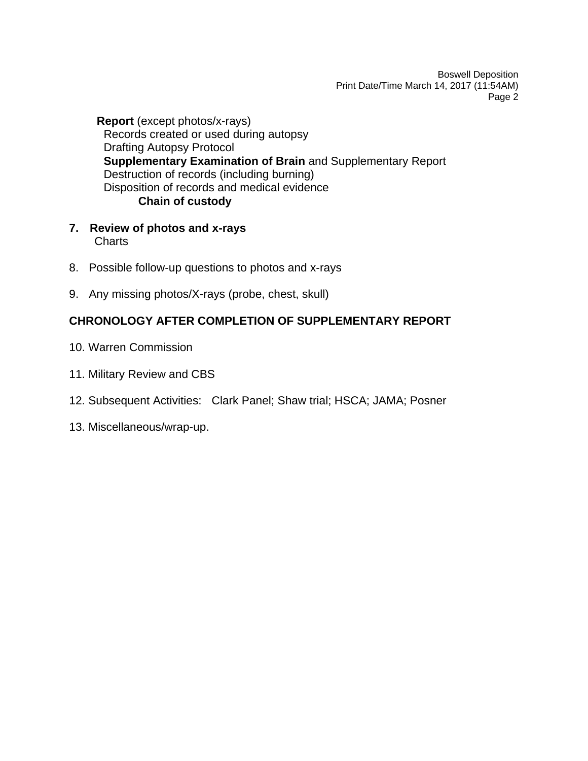**Report** (except photos/x-rays) Records created or used during autopsy Drafting Autopsy Protocol **Supplementary Examination of Brain** and Supplementary Report Destruction of records (including burning) Disposition of records and medical evidence **Chain of custody**

- **7. Review of photos and x-rays Charts**
- 8. Possible follow-up questions to photos and x-rays
- 9. Any missing photos/X-rays (probe, chest, skull)

# **CHRONOLOGY AFTER COMPLETION OF SUPPLEMENTARY REPORT**

- 10. Warren Commission
- 11. Military Review and CBS
- 12. Subsequent Activities: Clark Panel; Shaw trial; HSCA; JAMA; Posner
- 13. Miscellaneous/wrap-up.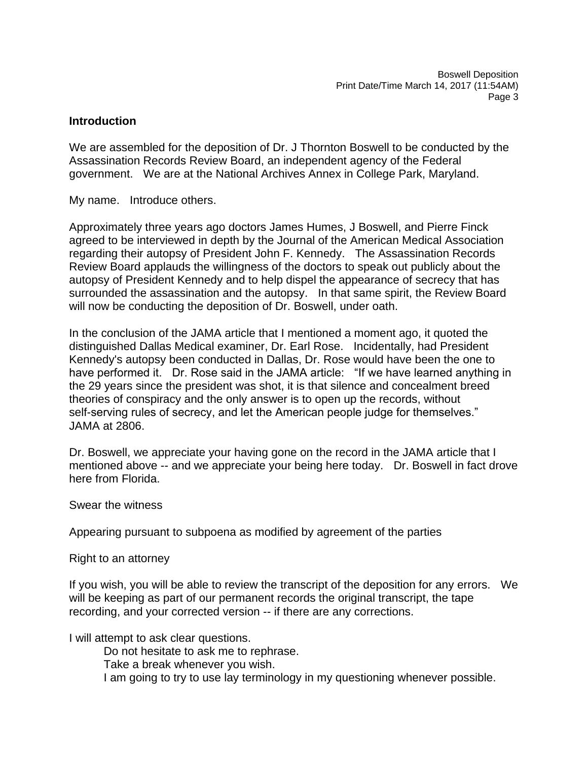## **Introduction**

We are assembled for the deposition of Dr. J Thornton Boswell to be conducted by the Assassination Records Review Board, an independent agency of the Federal government. We are at the National Archives Annex in College Park, Maryland.

My name. Introduce others.

Approximately three years ago doctors James Humes, J Boswell, and Pierre Finck agreed to be interviewed in depth by the Journal of the American Medical Association regarding their autopsy of President John F. Kennedy. The Assassination Records Review Board applauds the willingness of the doctors to speak out publicly about the autopsy of President Kennedy and to help dispel the appearance of secrecy that has surrounded the assassination and the autopsy. In that same spirit, the Review Board will now be conducting the deposition of Dr. Boswell, under oath.

In the conclusion of the JAMA article that I mentioned a moment ago, it quoted the distinguished Dallas Medical examiner, Dr. Earl Rose. Incidentally, had President Kennedy's autopsy been conducted in Dallas, Dr. Rose would have been the one to have performed it. Dr. Rose said in the JAMA article: "If we have learned anything in the 29 years since the president was shot, it is that silence and concealment breed theories of conspiracy and the only answer is to open up the records, without self-serving rules of secrecy, and let the American people judge for themselves." JAMA at 2806.

Dr. Boswell, we appreciate your having gone on the record in the JAMA article that I mentioned above -- and we appreciate your being here today. Dr. Boswell in fact drove here from Florida.

Swear the witness

Appearing pursuant to subpoena as modified by agreement of the parties

Right to an attorney

If you wish, you will be able to review the transcript of the deposition for any errors. We will be keeping as part of our permanent records the original transcript, the tape recording, and your corrected version -- if there are any corrections.

I will attempt to ask clear questions.

Do not hesitate to ask me to rephrase.

Take a break whenever you wish.

I am going to try to use lay terminology in my questioning whenever possible.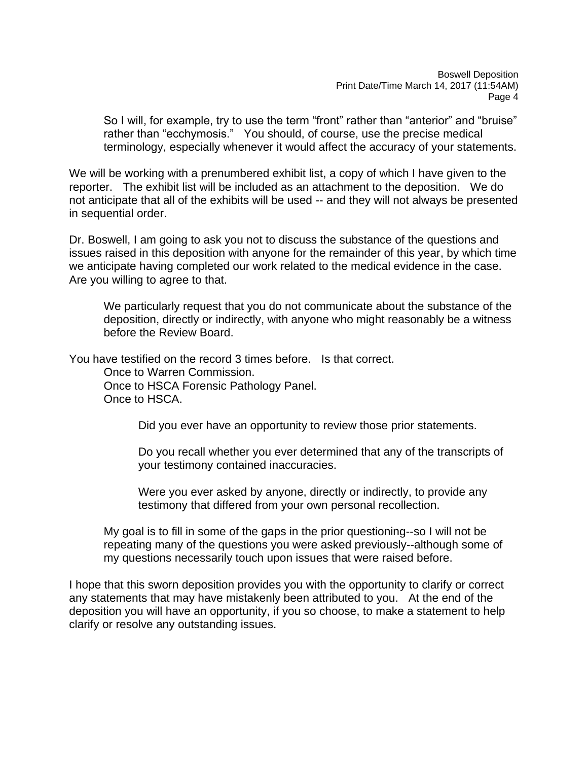So I will, for example, try to use the term "front" rather than "anterior" and "bruise" rather than "ecchymosis." You should, of course, use the precise medical terminology, especially whenever it would affect the accuracy of your statements.

We will be working with a prenumbered exhibit list, a copy of which I have given to the reporter. The exhibit list will be included as an attachment to the deposition. We do not anticipate that all of the exhibits will be used -- and they will not always be presented in sequential order.

Dr. Boswell, I am going to ask you not to discuss the substance of the questions and issues raised in this deposition with anyone for the remainder of this year, by which time we anticipate having completed our work related to the medical evidence in the case. Are you willing to agree to that.

We particularly request that you do not communicate about the substance of the deposition, directly or indirectly, with anyone who might reasonably be a witness before the Review Board.

You have testified on the record 3 times before. Is that correct.

Once to Warren Commission. Once to HSCA Forensic Pathology Panel. Once to HSCA.

Did you ever have an opportunity to review those prior statements.

Do you recall whether you ever determined that any of the transcripts of your testimony contained inaccuracies.

Were you ever asked by anyone, directly or indirectly, to provide any testimony that differed from your own personal recollection.

My goal is to fill in some of the gaps in the prior questioning--so I will not be repeating many of the questions you were asked previously--although some of my questions necessarily touch upon issues that were raised before.

I hope that this sworn deposition provides you with the opportunity to clarify or correct any statements that may have mistakenly been attributed to you. At the end of the deposition you will have an opportunity, if you so choose, to make a statement to help clarify or resolve any outstanding issues.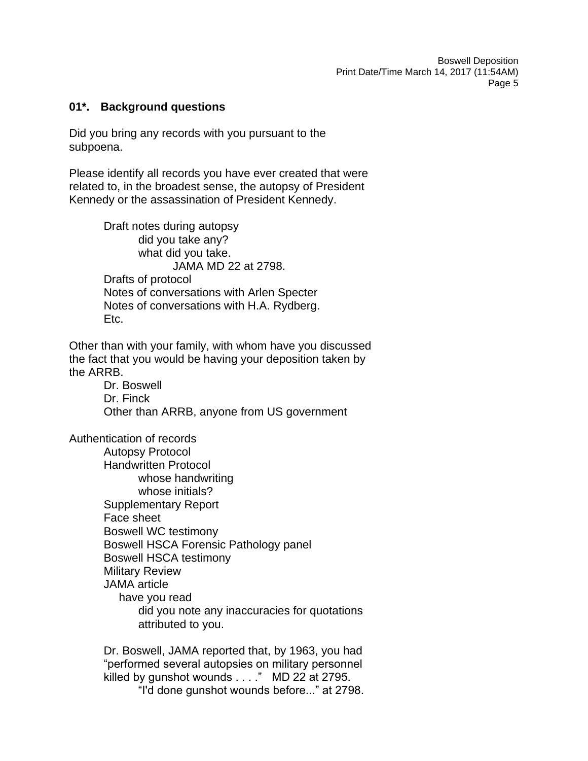## **01\*. Background questions**

Did you bring any records with you pursuant to the subpoena.

Please identify all records you have ever created that were related to, in the broadest sense, the autopsy of President Kennedy or the assassination of President Kennedy.

> Draft notes during autopsy did you take any? what did you take. JAMA MD 22 at 2798. Drafts of protocol Notes of conversations with Arlen Specter Notes of conversations with H.A. Rydberg. Etc.

Other than with your family, with whom have you discussed the fact that you would be having your deposition taken by the ARRB.

> Dr. Boswell Dr. Finck Other than ARRB, anyone from US government

Authentication of records

Autopsy Protocol Handwritten Protocol whose handwriting whose initials? Supplementary Report Face sheet Boswell WC testimony Boswell HSCA Forensic Pathology panel Boswell HSCA testimony Military Review JAMA article have you read did you note any inaccuracies for quotations attributed to you.

Dr. Boswell, JAMA reported that, by 1963, you had "performed several autopsies on military personnel killed by gunshot wounds . . . ." MD 22 at 2795.

"I'd done gunshot wounds before..." at 2798.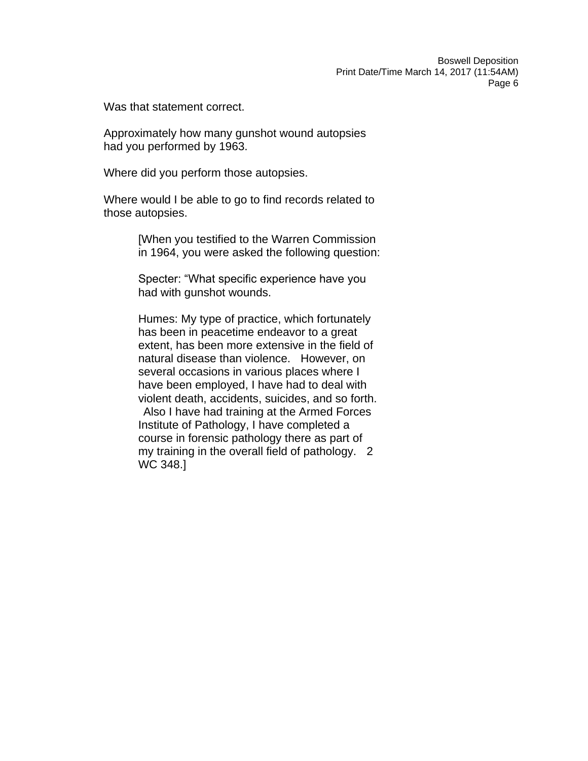Was that statement correct.

Approximately how many gunshot wound autopsies had you performed by 1963.

Where did you perform those autopsies.

Where would I be able to go to find records related to those autopsies.

> [When you testified to the Warren Commission in 1964, you were asked the following question:

Specter: "What specific experience have you had with gunshot wounds.

Humes: My type of practice, which fortunately has been in peacetime endeavor to a great extent, has been more extensive in the field of natural disease than violence. However, on several occasions in various places where I have been employed, I have had to deal with violent death, accidents, suicides, and so forth.

Also I have had training at the Armed Forces Institute of Pathology, I have completed a course in forensic pathology there as part of my training in the overall field of pathology. 2 WC 348.]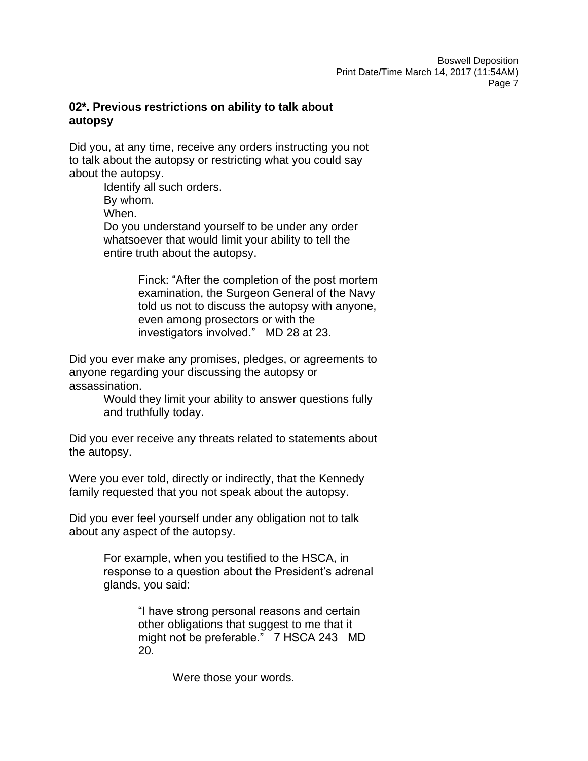# **02\*. Previous restrictions on ability to talk about autopsy**

Did you, at any time, receive any orders instructing you not to talk about the autopsy or restricting what you could say about the autopsy.

Identify all such orders. By whom. When. Do you understand yourself to be under any order whatsoever that would limit your ability to tell the entire truth about the autopsy.

> Finck: "After the completion of the post mortem examination, the Surgeon General of the Navy told us not to discuss the autopsy with anyone, even among prosectors or with the investigators involved." MD 28 at 23.

Did you ever make any promises, pledges, or agreements to anyone regarding your discussing the autopsy or assassination.

> Would they limit your ability to answer questions fully and truthfully today.

Did you ever receive any threats related to statements about the autopsy.

Were you ever told, directly or indirectly, that the Kennedy family requested that you not speak about the autopsy.

Did you ever feel yourself under any obligation not to talk about any aspect of the autopsy.

> For example, when you testified to the HSCA, in response to a question about the President's adrenal glands, you said:

> > "I have strong personal reasons and certain other obligations that suggest to me that it might not be preferable." 7 HSCA 243 MD 20.

> > > Were those your words.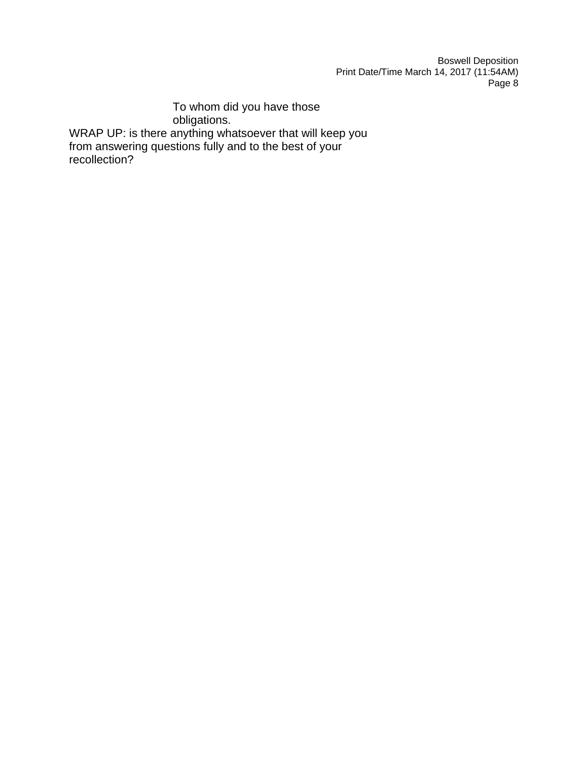To whom did you have those obligations. WRAP UP: is there anything whatsoever that will keep you from answering questions fully and to the best of your recollection?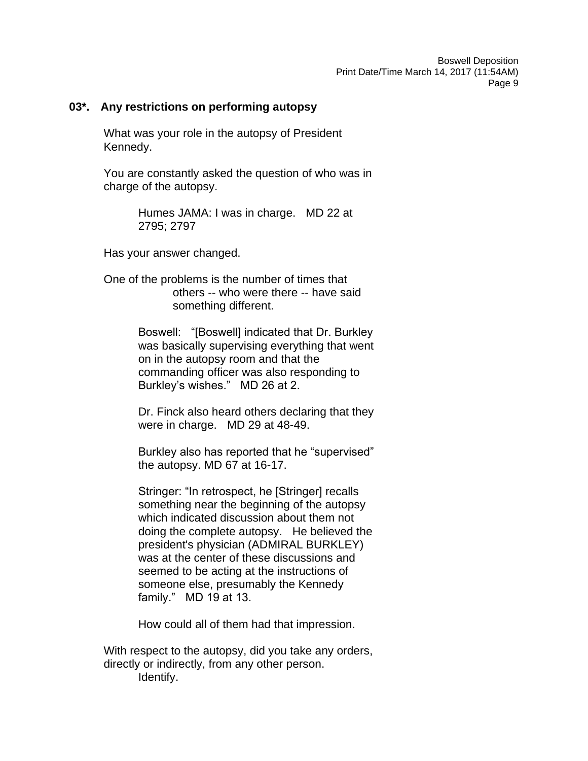### **03\*. Any restrictions on performing autopsy**

What was your role in the autopsy of President Kennedy.

You are constantly asked the question of who was in charge of the autopsy.

> Humes JAMA: I was in charge. MD 22 at 2795; 2797

Has your answer changed.

One of the problems is the number of times that others -- who were there -- have said something different.

> Boswell: "[Boswell] indicated that Dr. Burkley was basically supervising everything that went on in the autopsy room and that the commanding officer was also responding to Burkley's wishes." MD 26 at 2.

> Dr. Finck also heard others declaring that they were in charge. MD 29 at 48-49.

> Burkley also has reported that he "supervised" the autopsy. MD 67 at 16-17.

> Stringer: "In retrospect, he [Stringer] recalls something near the beginning of the autopsy which indicated discussion about them not doing the complete autopsy. He believed the president's physician (ADMIRAL BURKLEY) was at the center of these discussions and seemed to be acting at the instructions of someone else, presumably the Kennedy family." MD 19 at 13.

How could all of them had that impression.

With respect to the autopsy, did you take any orders, directly or indirectly, from any other person. Identify.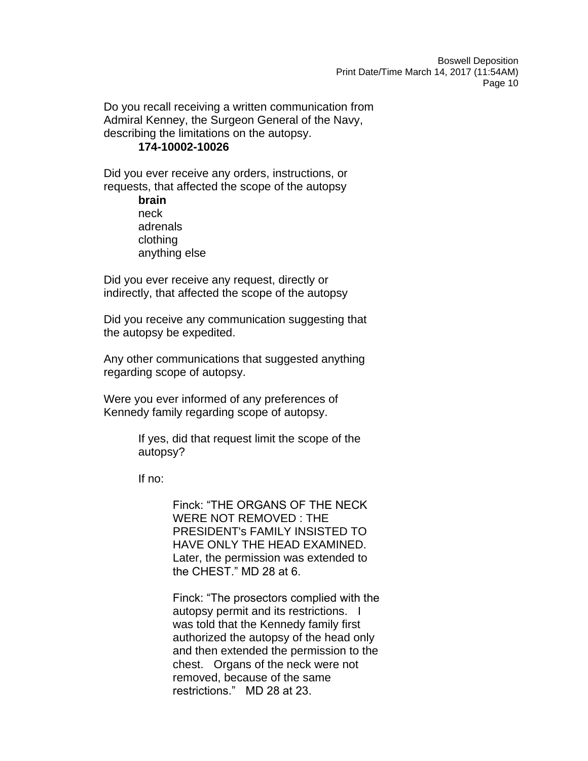Do you recall receiving a written communication from Admiral Kenney, the Surgeon General of the Navy, describing the limitations on the autopsy.

### **174-10002-10026**

Did you ever receive any orders, instructions, or requests, that affected the scope of the autopsy

> **brain** neck adrenals clothing anything else

Did you ever receive any request, directly or indirectly, that affected the scope of the autopsy

Did you receive any communication suggesting that the autopsy be expedited.

Any other communications that suggested anything regarding scope of autopsy.

Were you ever informed of any preferences of Kennedy family regarding scope of autopsy.

> If yes, did that request limit the scope of the autopsy?

If no:

Finck: "THE ORGANS OF THE NECK WERE NOT REMOVED : THE PRESIDENT's FAMILY INSISTED TO HAVE ONLY THE HEAD EXAMINED. Later, the permission was extended to the CHEST." MD 28 at 6.

Finck: "The prosectors complied with the autopsy permit and its restrictions. I was told that the Kennedy family first authorized the autopsy of the head only and then extended the permission to the chest. Organs of the neck were not removed, because of the same restrictions." MD 28 at 23.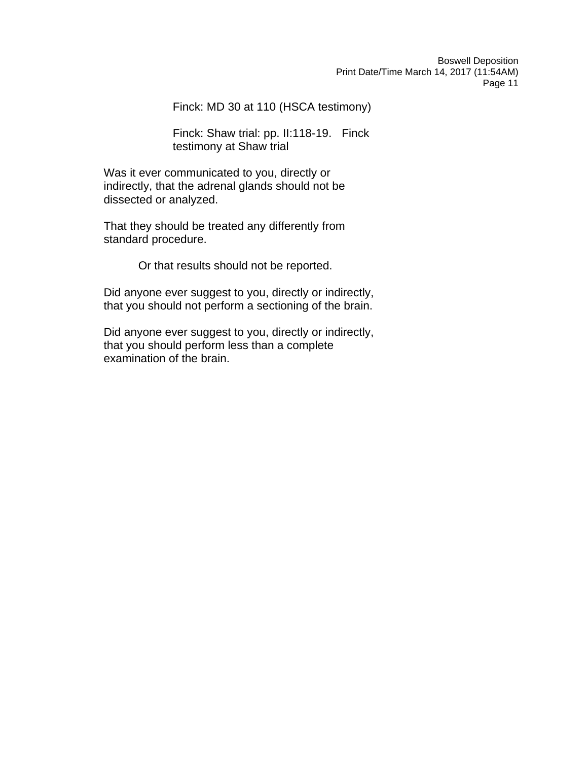Finck: MD 30 at 110 (HSCA testimony)

Finck: Shaw trial: pp. II:118-19. Finck testimony at Shaw trial

Was it ever communicated to you, directly or indirectly, that the adrenal glands should not be dissected or analyzed.

That they should be treated any differently from standard procedure.

Or that results should not be reported.

Did anyone ever suggest to you, directly or indirectly, that you should not perform a sectioning of the brain.

Did anyone ever suggest to you, directly or indirectly, that you should perform less than a complete examination of the brain.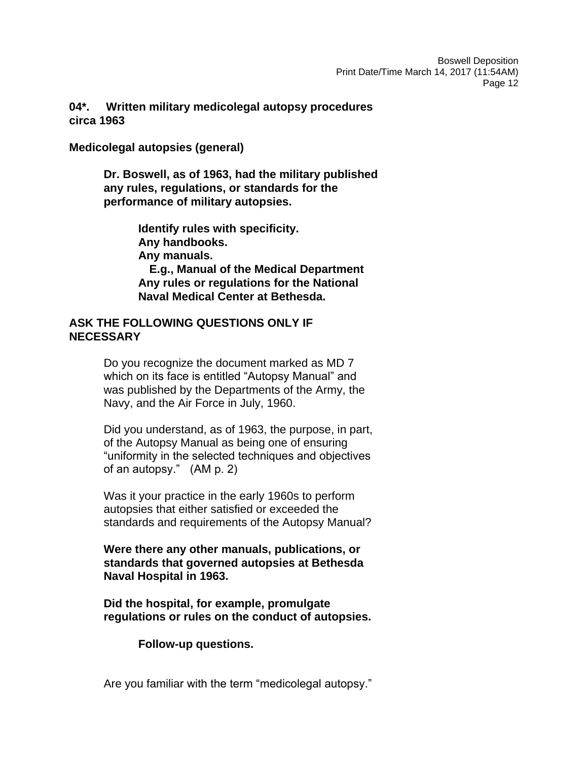# **04\*. Written military medicolegal autopsy procedures circa 1963**

**Medicolegal autopsies (general)**

**Dr. Boswell, as of 1963, had the military published any rules, regulations, or standards for the performance of military autopsies.**

> **Identify rules with specificity. Any handbooks. Any manuals. E.g., Manual of the Medical Department Any rules or regulations for the National Naval Medical Center at Bethesda.**

## **ASK THE FOLLOWING QUESTIONS ONLY IF NECESSARY**

Do you recognize the document marked as MD 7 which on its face is entitled "Autopsy Manual" and was published by the Departments of the Army, the Navy, and the Air Force in July, 1960.

Did you understand, as of 1963, the purpose, in part, of the Autopsy Manual as being one of ensuring "uniformity in the selected techniques and objectives of an autopsy." (AM p. 2)

Was it your practice in the early 1960s to perform autopsies that either satisfied or exceeded the standards and requirements of the Autopsy Manual?

**Were there any other manuals, publications, or standards that governed autopsies at Bethesda Naval Hospital in 1963.**

**Did the hospital, for example, promulgate regulations or rules on the conduct of autopsies.**

**Follow-up questions.**

Are you familiar with the term "medicolegal autopsy."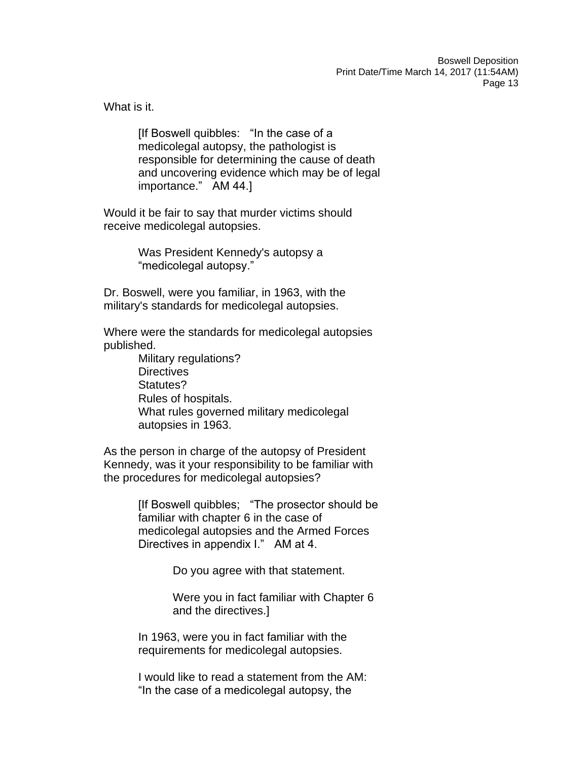What is it.

[If Boswell quibbles: "In the case of a medicolegal autopsy, the pathologist is responsible for determining the cause of death and uncovering evidence which may be of legal importance." AM 44.]

Would it be fair to say that murder victims should receive medicolegal autopsies.

> Was President Kennedy's autopsy a "medicolegal autopsy."

Dr. Boswell, were you familiar, in 1963, with the military's standards for medicolegal autopsies.

Where were the standards for medicolegal autopsies published.

> Military regulations? **Directives** Statutes? Rules of hospitals. What rules governed military medicolegal autopsies in 1963.

As the person in charge of the autopsy of President Kennedy, was it your responsibility to be familiar with the procedures for medicolegal autopsies?

> [If Boswell quibbles; "The prosector should be familiar with chapter 6 in the case of medicolegal autopsies and the Armed Forces Directives in appendix I." AM at 4.

> > Do you agree with that statement.

Were you in fact familiar with Chapter 6 and the directives.]

In 1963, were you in fact familiar with the requirements for medicolegal autopsies.

I would like to read a statement from the AM: "In the case of a medicolegal autopsy, the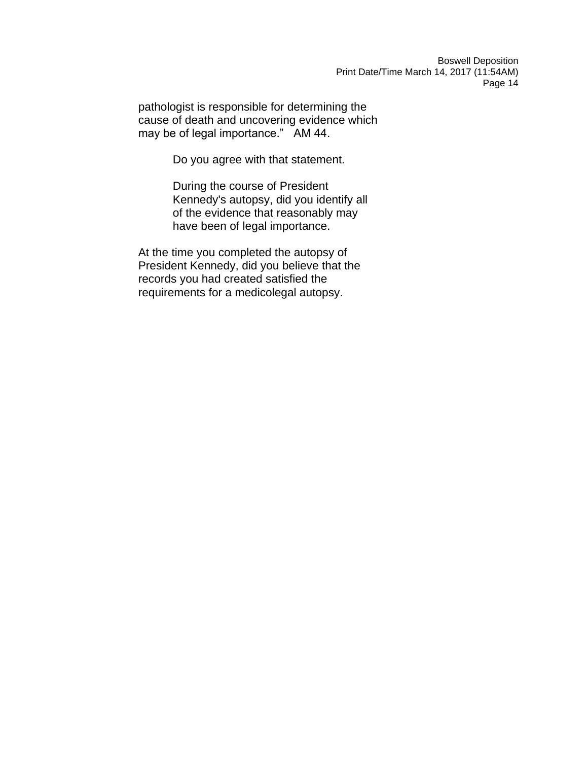pathologist is responsible for determining the cause of death and uncovering evidence which may be of legal importance." AM 44.

Do you agree with that statement.

During the course of President Kennedy's autopsy, did you identify all of the evidence that reasonably may have been of legal importance.

At the time you completed the autopsy of President Kennedy, did you believe that the records you had created satisfied the requirements for a medicolegal autopsy.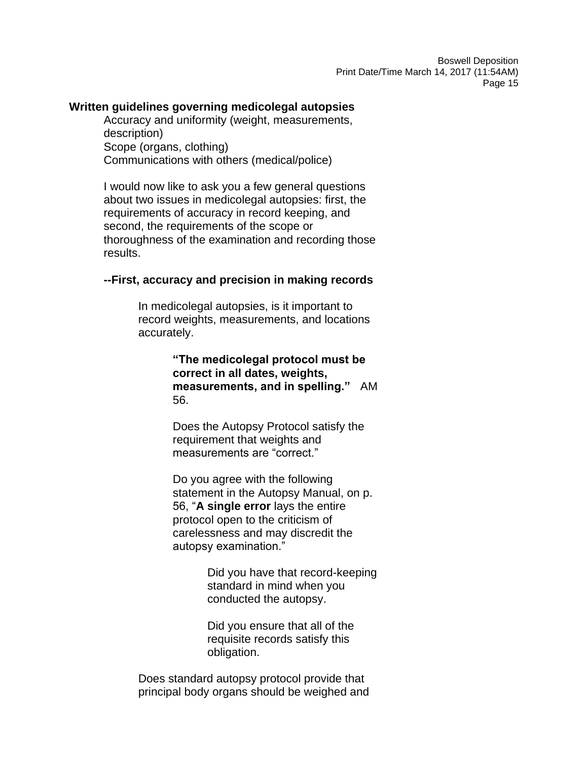### **Written guidelines governing medicolegal autopsies**

Accuracy and uniformity (weight, measurements, description) Scope (organs, clothing) Communications with others (medical/police)

I would now like to ask you a few general questions about two issues in medicolegal autopsies: first, the requirements of accuracy in record keeping, and second, the requirements of the scope or thoroughness of the examination and recording those results.

### **--First, accuracy and precision in making records**

In medicolegal autopsies, is it important to record weights, measurements, and locations accurately.

> **"The medicolegal protocol must be correct in all dates, weights, measurements, and in spelling."** AM 56.

Does the Autopsy Protocol satisfy the requirement that weights and measurements are "correct."

Do you agree with the following statement in the Autopsy Manual, on p. 56, "**A single error** lays the entire protocol open to the criticism of carelessness and may discredit the autopsy examination."

> Did you have that record-keeping standard in mind when you conducted the autopsy.

Did you ensure that all of the requisite records satisfy this obligation.

Does standard autopsy protocol provide that principal body organs should be weighed and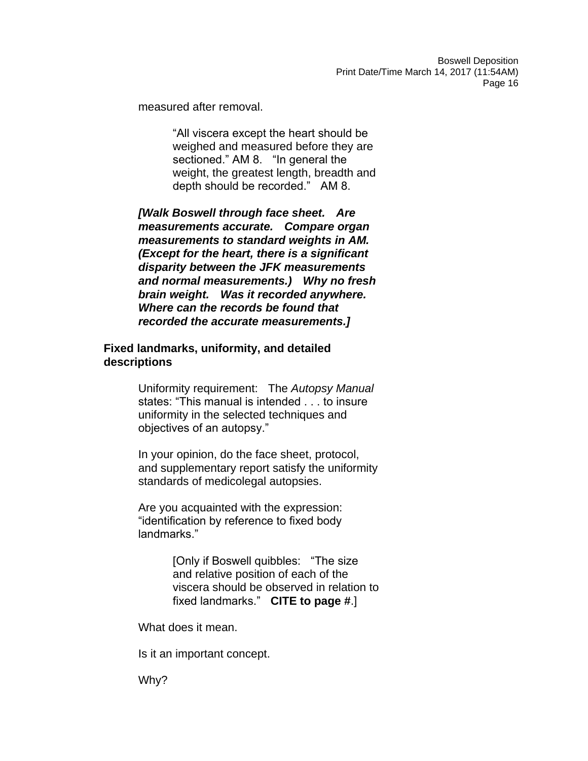measured after removal.

"All viscera except the heart should be weighed and measured before they are sectioned." AM 8. "In general the weight, the greatest length, breadth and depth should be recorded." AM 8.

*[Walk Boswell through face sheet. Are measurements accurate. Compare organ measurements to standard weights in AM. (Except for the heart, there is a significant disparity between the JFK measurements and normal measurements.) Why no fresh brain weight. Was it recorded anywhere. Where can the records be found that recorded the accurate measurements.]*

### **Fixed landmarks, uniformity, and detailed descriptions**

Uniformity requirement: The *Autopsy Manual* states: "This manual is intended . . . to insure uniformity in the selected techniques and objectives of an autopsy."

In your opinion, do the face sheet, protocol, and supplementary report satisfy the uniformity standards of medicolegal autopsies.

Are you acquainted with the expression: "identification by reference to fixed body landmarks."

> [Only if Boswell quibbles: "The size and relative position of each of the viscera should be observed in relation to fixed landmarks." **CITE to page #**.]

What does it mean.

Is it an important concept.

Why?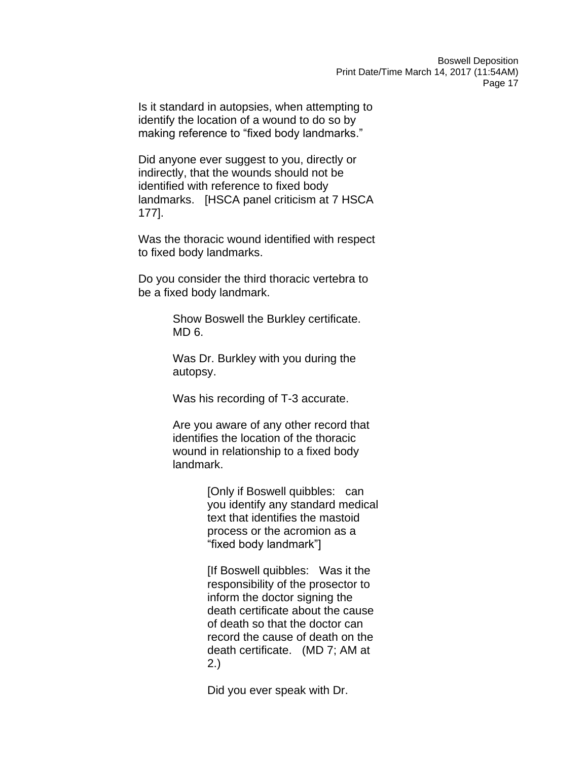Is it standard in autopsies, when attempting to identify the location of a wound to do so by making reference to "fixed body landmarks."

Did anyone ever suggest to you, directly or indirectly, that the wounds should not be identified with reference to fixed body landmarks. [HSCA panel criticism at 7 HSCA 177].

Was the thoracic wound identified with respect to fixed body landmarks.

Do you consider the third thoracic vertebra to be a fixed body landmark.

> Show Boswell the Burkley certificate. MD 6.

Was Dr. Burkley with you during the autopsy.

Was his recording of T-3 accurate.

Are you aware of any other record that identifies the location of the thoracic wound in relationship to a fixed body landmark.

> [Only if Boswell quibbles: can you identify any standard medical text that identifies the mastoid process or the acromion as a "fixed body landmark"]

[If Boswell quibbles: Was it the responsibility of the prosector to inform the doctor signing the death certificate about the cause of death so that the doctor can record the cause of death on the death certificate. (MD 7; AM at 2.)

Did you ever speak with Dr.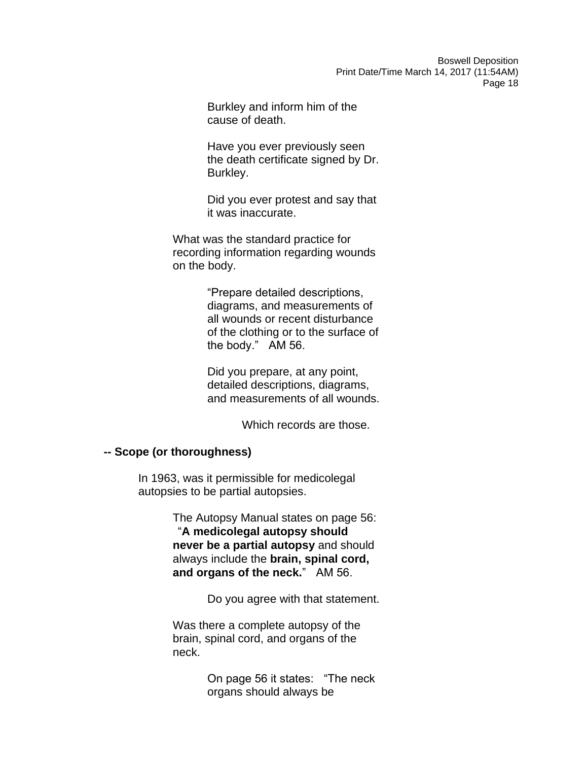Burkley and inform him of the cause of death.

Have you ever previously seen the death certificate signed by Dr. Burkley.

Did you ever protest and say that it was inaccurate.

What was the standard practice for recording information regarding wounds on the body.

> "Prepare detailed descriptions, diagrams, and measurements of all wounds or recent disturbance of the clothing or to the surface of the body." AM 56.

> Did you prepare, at any point, detailed descriptions, diagrams, and measurements of all wounds.

> > Which records are those.

### **-- Scope (or thoroughness)**

In 1963, was it permissible for medicolegal autopsies to be partial autopsies.

> The Autopsy Manual states on page 56: "**A medicolegal autopsy should never be a partial autopsy** and should always include the **brain, spinal cord, and organs of the neck.**" AM 56.

> > Do you agree with that statement.

Was there a complete autopsy of the brain, spinal cord, and organs of the neck.

> On page 56 it states: "The neck organs should always be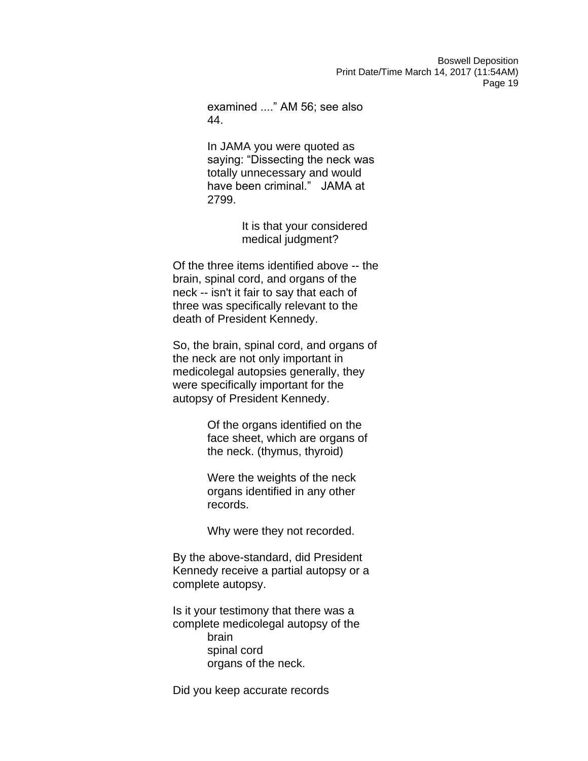examined ...." AM 56; see also 44.

In JAMA you were quoted as saying: "Dissecting the neck was totally unnecessary and would have been criminal." JAMA at 2799.

> It is that your considered medical judgment?

Of the three items identified above -- the brain, spinal cord, and organs of the neck -- isn't it fair to say that each of three was specifically relevant to the death of President Kennedy.

So, the brain, spinal cord, and organs of the neck are not only important in medicolegal autopsies generally, they were specifically important for the autopsy of President Kennedy.

> Of the organs identified on the face sheet, which are organs of the neck. (thymus, thyroid)

Were the weights of the neck organs identified in any other records.

Why were they not recorded.

By the above-standard, did President Kennedy receive a partial autopsy or a complete autopsy.

Is it your testimony that there was a complete medicolegal autopsy of the brain spinal cord organs of the neck.

Did you keep accurate records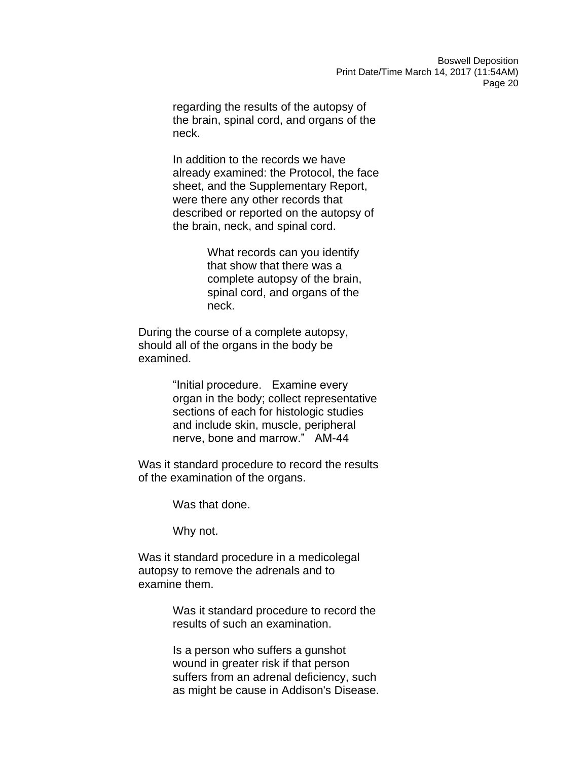regarding the results of the autopsy of the brain, spinal cord, and organs of the neck.

In addition to the records we have already examined: the Protocol, the face sheet, and the Supplementary Report, were there any other records that described or reported on the autopsy of the brain, neck, and spinal cord.

> What records can you identify that show that there was a complete autopsy of the brain, spinal cord, and organs of the neck.

During the course of a complete autopsy, should all of the organs in the body be examined.

> "Initial procedure. Examine every organ in the body; collect representative sections of each for histologic studies and include skin, muscle, peripheral nerve, bone and marrow." AM-44

Was it standard procedure to record the results of the examination of the organs.

Was that done.

Why not.

Was it standard procedure in a medicolegal autopsy to remove the adrenals and to examine them.

> Was it standard procedure to record the results of such an examination.

Is a person who suffers a gunshot wound in greater risk if that person suffers from an adrenal deficiency, such as might be cause in Addison's Disease.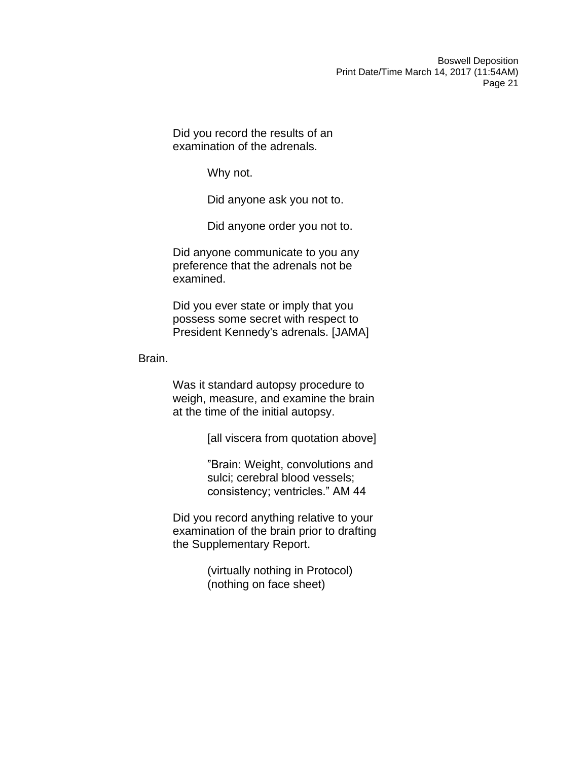Did you record the results of an examination of the adrenals.

Why not.

Did anyone ask you not to.

Did anyone order you not to.

Did anyone communicate to you any preference that the adrenals not be examined.

Did you ever state or imply that you possess some secret with respect to President Kennedy's adrenals. [JAMA]

Brain.

Was it standard autopsy procedure to weigh, measure, and examine the brain at the time of the initial autopsy.

[all viscera from quotation above]

"Brain: Weight, convolutions and sulci; cerebral blood vessels; consistency; ventricles." AM 44

Did you record anything relative to your examination of the brain prior to drafting the Supplementary Report.

> (virtually nothing in Protocol) (nothing on face sheet)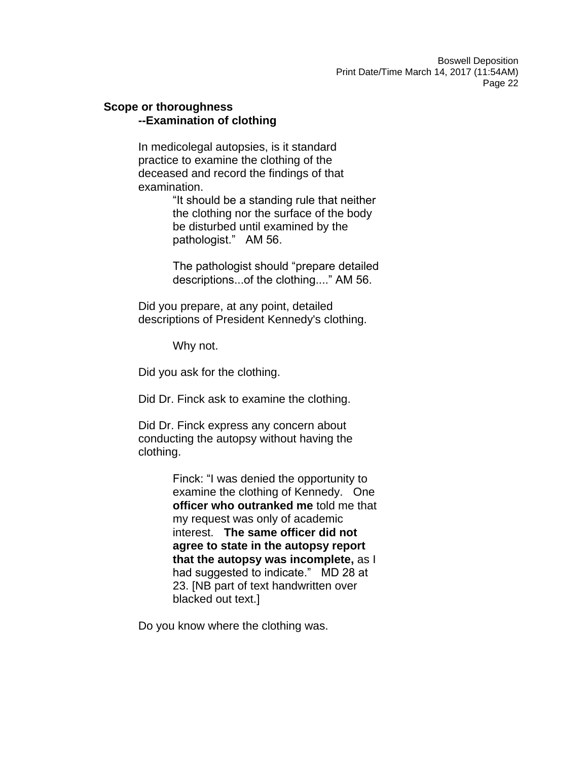### **Scope or thoroughness --Examination of clothing**

In medicolegal autopsies, is it standard practice to examine the clothing of the deceased and record the findings of that examination.

> "It should be a standing rule that neither the clothing nor the surface of the body be disturbed until examined by the pathologist." AM 56.

The pathologist should "prepare detailed descriptions...of the clothing...." AM 56.

Did you prepare, at any point, detailed descriptions of President Kennedy's clothing.

Why not.

Did you ask for the clothing.

Did Dr. Finck ask to examine the clothing.

Did Dr. Finck express any concern about conducting the autopsy without having the clothing.

> Finck: "I was denied the opportunity to examine the clothing of Kennedy. One **officer who outranked me** told me that my request was only of academic interest. **The same officer did not agree to state in the autopsy report that the autopsy was incomplete,** as I had suggested to indicate." MD 28 at 23. [NB part of text handwritten over blacked out text.]

Do you know where the clothing was.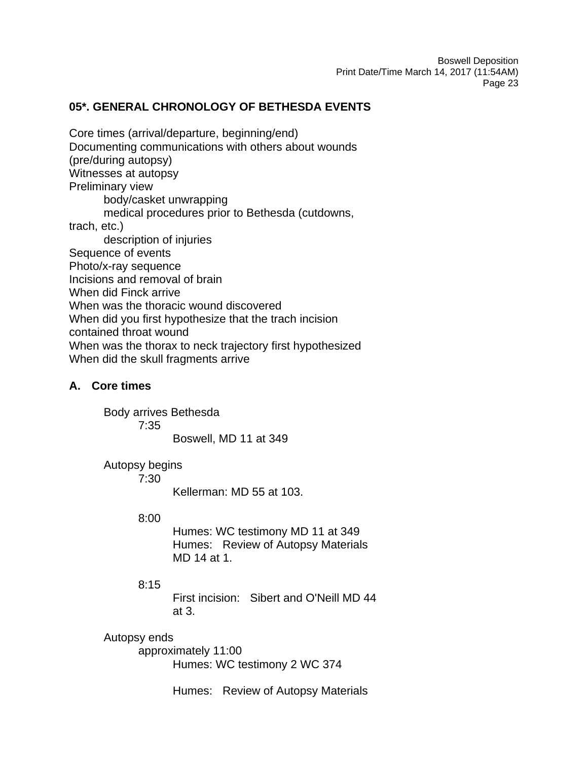# **05\*. GENERAL CHRONOLOGY OF BETHESDA EVENTS**

Core times (arrival/departure, beginning/end) Documenting communications with others about wounds (pre/during autopsy) Witnesses at autopsy Preliminary view body/casket unwrapping medical procedures prior to Bethesda (cutdowns, trach, etc.) description of injuries Sequence of events Photo/x-ray sequence Incisions and removal of brain When did Finck arrive When was the thoracic wound discovered When did you first hypothesize that the trach incision contained throat wound When was the thorax to neck trajectory first hypothesized When did the skull fragments arrive

## **A. Core times**

Body arrives Bethesda

7:35

Boswell, MD 11 at 349

# Autopsy begins

7:30

Kellerman: MD 55 at 103.

### 8:00

Humes: WC testimony MD 11 at 349 Humes: Review of Autopsy Materials MD 14 at 1.

# 8:15

First incision: Sibert and O'Neill MD 44 at 3.

# Autopsy ends

approximately 11:00 Humes: WC testimony 2 WC 374

Humes: Review of Autopsy Materials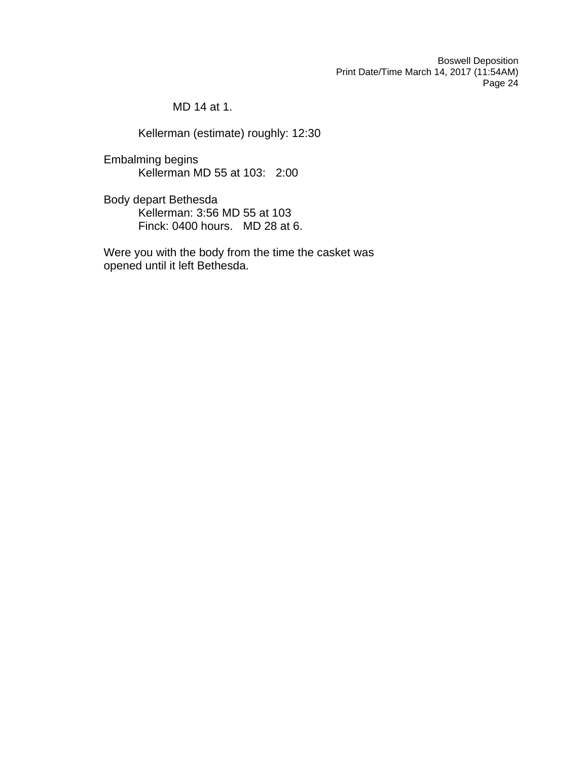MD 14 at 1.

Kellerman (estimate) roughly: 12:30

Embalming begins Kellerman MD 55 at 103: 2:00

Body depart Bethesda Kellerman: 3:56 MD 55 at 103 Finck: 0400 hours. MD 28 at 6.

Were you with the body from the time the casket was opened until it left Bethesda.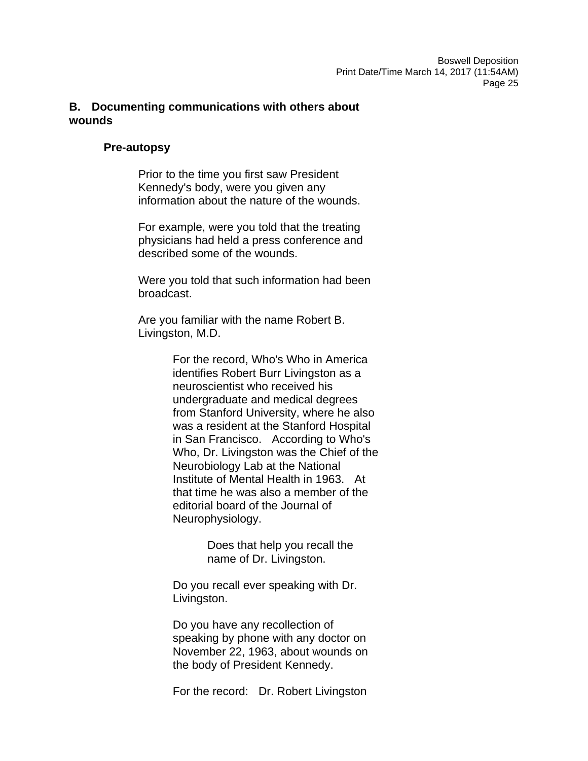# **B. Documenting communications with others about wounds**

## **Pre-autopsy**

Prior to the time you first saw President Kennedy's body, were you given any information about the nature of the wounds.

For example, were you told that the treating physicians had held a press conference and described some of the wounds.

Were you told that such information had been broadcast.

Are you familiar with the name Robert B. Livingston, M.D.

> For the record, Who's Who in America identifies Robert Burr Livingston as a neuroscientist who received his undergraduate and medical degrees from Stanford University, where he also was a resident at the Stanford Hospital in San Francisco. According to Who's Who, Dr. Livingston was the Chief of the Neurobiology Lab at the National Institute of Mental Health in 1963. At that time he was also a member of the editorial board of the Journal of Neurophysiology.

> > Does that help you recall the name of Dr. Livingston.

Do you recall ever speaking with Dr. Livingston.

Do you have any recollection of speaking by phone with any doctor on November 22, 1963, about wounds on the body of President Kennedy.

For the record: Dr. Robert Livingston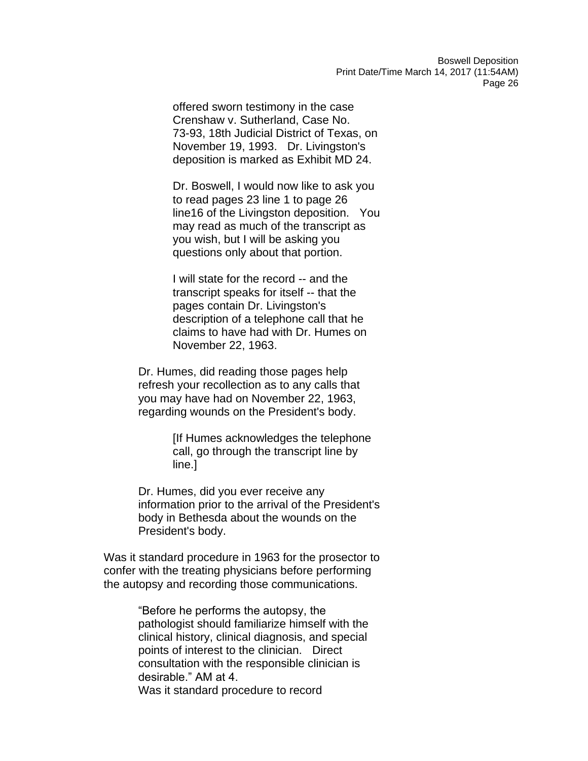offered sworn testimony in the case Crenshaw v. Sutherland, Case No. 73-93, 18th Judicial District of Texas, on November 19, 1993. Dr. Livingston's deposition is marked as Exhibit MD 24.

Dr. Boswell, I would now like to ask you to read pages 23 line 1 to page 26 line16 of the Livingston deposition. You may read as much of the transcript as you wish, but I will be asking you questions only about that portion.

I will state for the record -- and the transcript speaks for itself -- that the pages contain Dr. Livingston's description of a telephone call that he claims to have had with Dr. Humes on November 22, 1963.

Dr. Humes, did reading those pages help refresh your recollection as to any calls that you may have had on November 22, 1963, regarding wounds on the President's body.

> [If Humes acknowledges the telephone call, go through the transcript line by line.]

Dr. Humes, did you ever receive any information prior to the arrival of the President's body in Bethesda about the wounds on the President's body.

Was it standard procedure in 1963 for the prosector to confer with the treating physicians before performing the autopsy and recording those communications.

> "Before he performs the autopsy, the pathologist should familiarize himself with the clinical history, clinical diagnosis, and special points of interest to the clinician. Direct consultation with the responsible clinician is desirable." AM at 4. Was it standard procedure to record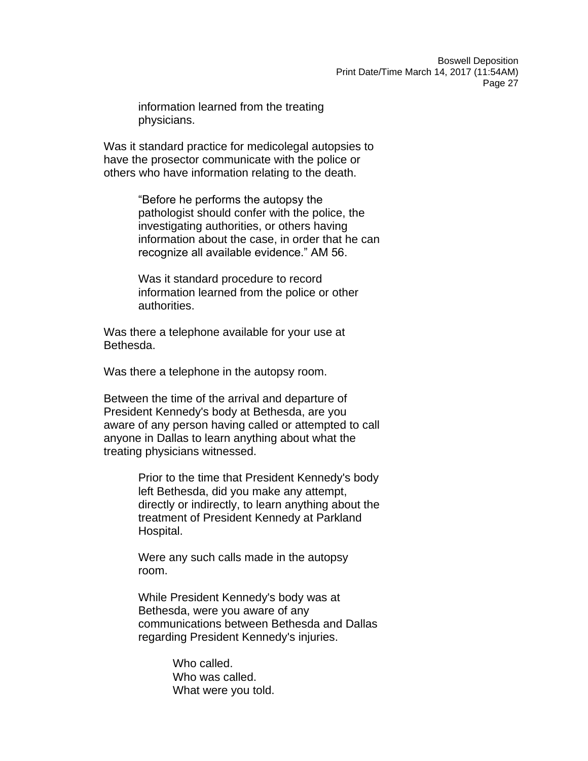information learned from the treating physicians.

Was it standard practice for medicolegal autopsies to have the prosector communicate with the police or others who have information relating to the death.

> "Before he performs the autopsy the pathologist should confer with the police, the investigating authorities, or others having information about the case, in order that he can recognize all available evidence." AM 56.

Was it standard procedure to record information learned from the police or other authorities.

Was there a telephone available for your use at Bethesda.

Was there a telephone in the autopsy room.

Between the time of the arrival and departure of President Kennedy's body at Bethesda, are you aware of any person having called or attempted to call anyone in Dallas to learn anything about what the treating physicians witnessed.

> Prior to the time that President Kennedy's body left Bethesda, did you make any attempt, directly or indirectly, to learn anything about the treatment of President Kennedy at Parkland Hospital.

Were any such calls made in the autopsy room.

While President Kennedy's body was at Bethesda, were you aware of any communications between Bethesda and Dallas regarding President Kennedy's injuries.

> Who called. Who was called. What were you told.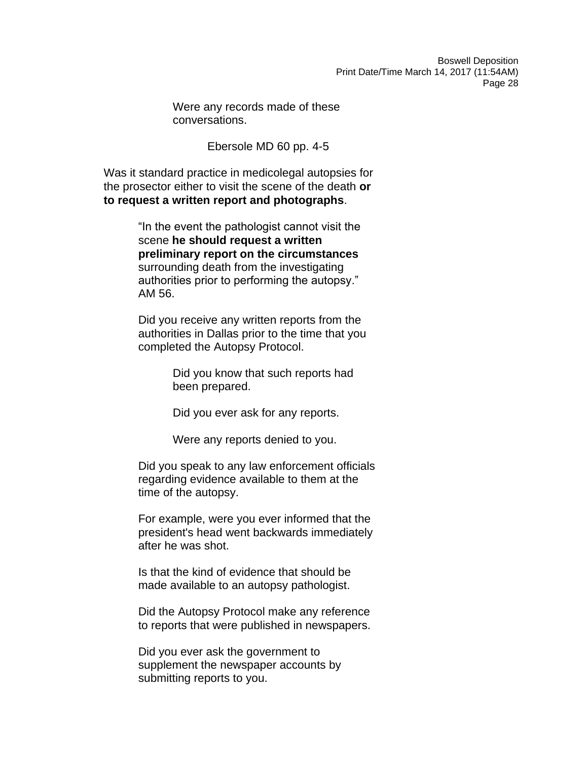Were any records made of these conversations.

Ebersole MD 60 pp. 4-5

Was it standard practice in medicolegal autopsies for the prosector either to visit the scene of the death **or to request a written report and photographs**.

> "In the event the pathologist cannot visit the scene **he should request a written preliminary report on the circumstances**  surrounding death from the investigating authorities prior to performing the autopsy." AM 56.

Did you receive any written reports from the authorities in Dallas prior to the time that you completed the Autopsy Protocol.

> Did you know that such reports had been prepared.

Did you ever ask for any reports.

Were any reports denied to you.

Did you speak to any law enforcement officials regarding evidence available to them at the time of the autopsy.

For example, were you ever informed that the president's head went backwards immediately after he was shot.

Is that the kind of evidence that should be made available to an autopsy pathologist.

Did the Autopsy Protocol make any reference to reports that were published in newspapers.

Did you ever ask the government to supplement the newspaper accounts by submitting reports to you.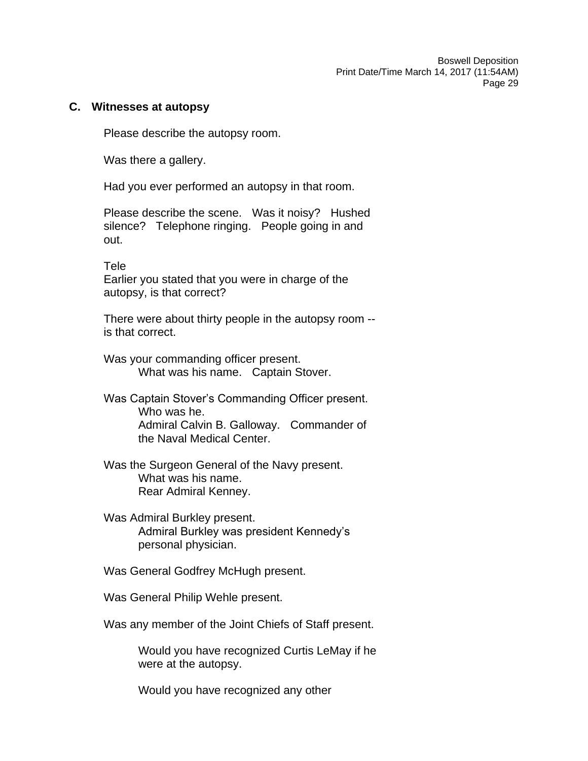#### **C. Witnesses at autopsy**

Please describe the autopsy room.

Was there a gallery.

Had you ever performed an autopsy in that room.

Please describe the scene. Was it noisy? Hushed silence? Telephone ringing. People going in and out.

Tele

Earlier you stated that you were in charge of the autopsy, is that correct?

There were about thirty people in the autopsy room - is that correct.

- Was your commanding officer present. What was his name. Captain Stover.
- Was Captain Stover's Commanding Officer present. Who was he. Admiral Calvin B. Galloway. Commander of the Naval Medical Center.
- Was the Surgeon General of the Navy present. What was his name. Rear Admiral Kenney.
- Was Admiral Burkley present. Admiral Burkley was president Kennedy's personal physician.

Was General Godfrey McHugh present.

Was General Philip Wehle present.

Was any member of the Joint Chiefs of Staff present.

Would you have recognized Curtis LeMay if he were at the autopsy.

Would you have recognized any other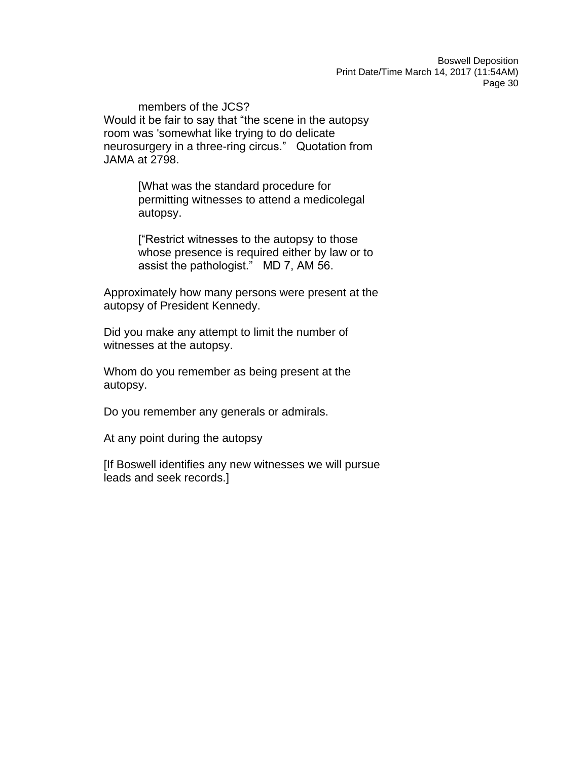members of the JCS? Would it be fair to say that "the scene in the autopsy room was 'somewhat like trying to do delicate neurosurgery in a three-ring circus." Quotation from JAMA at 2798.

> [What was the standard procedure for permitting witnesses to attend a medicolegal autopsy.

["Restrict witnesses to the autopsy to those whose presence is required either by law or to assist the pathologist." MD 7, AM 56.

Approximately how many persons were present at the autopsy of President Kennedy.

Did you make any attempt to limit the number of witnesses at the autopsy.

Whom do you remember as being present at the autopsy.

Do you remember any generals or admirals.

At any point during the autopsy

[If Boswell identifies any new witnesses we will pursue leads and seek records.]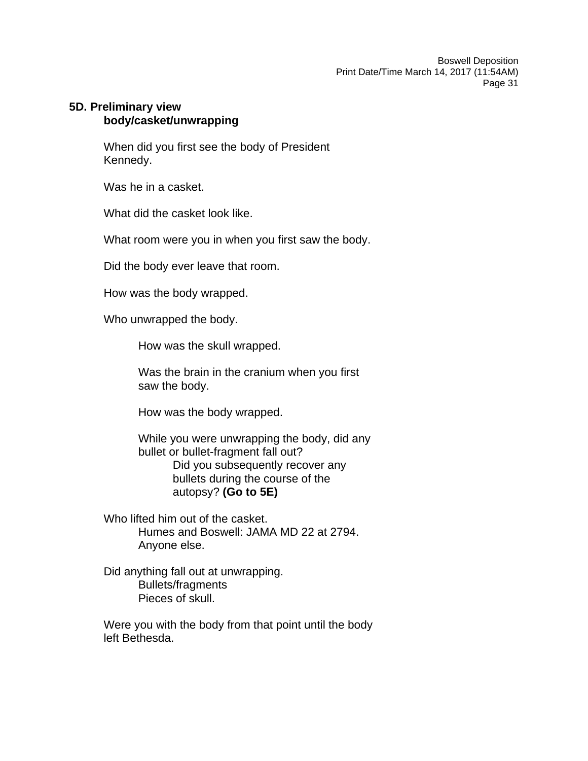## **5D. Preliminary view body/casket/unwrapping**

When did you first see the body of President Kennedy.

Was he in a casket.

What did the casket look like.

What room were you in when you first saw the body.

Did the body ever leave that room.

How was the body wrapped.

Who unwrapped the body.

How was the skull wrapped.

Was the brain in the cranium when you first saw the body.

How was the body wrapped.

While you were unwrapping the body, did any bullet or bullet-fragment fall out? Did you subsequently recover any bullets during the course of the autopsy? **(Go to 5E)**

Who lifted him out of the casket. Humes and Boswell: JAMA MD 22 at 2794. Anyone else.

Did anything fall out at unwrapping. Bullets/fragments Pieces of skull.

Were you with the body from that point until the body left Bethesda.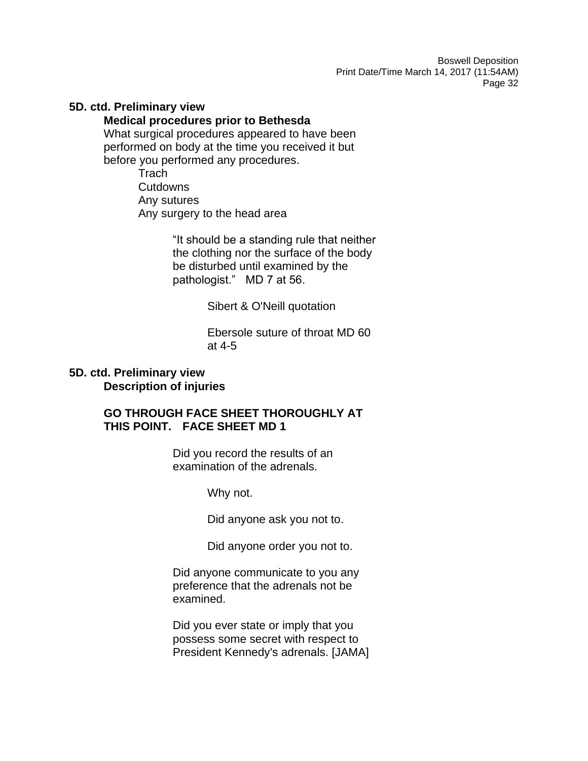#### **5D. ctd. Preliminary view**

#### **Medical procedures prior to Bethesda**

What surgical procedures appeared to have been performed on body at the time you received it but before you performed any procedures.

**Trach Cutdowns** Any sutures Any surgery to the head area

> "It should be a standing rule that neither the clothing nor the surface of the body be disturbed until examined by the pathologist." MD 7 at 56.

> > Sibert & O'Neill quotation

Ebersole suture of throat MD 60 at 4-5

### **5D. ctd. Preliminary view Description of injuries**

# **GO THROUGH FACE SHEET THOROUGHLY AT THIS POINT. FACE SHEET MD 1**

Did you record the results of an examination of the adrenals.

Why not.

Did anyone ask you not to.

Did anyone order you not to.

Did anyone communicate to you any preference that the adrenals not be examined.

Did you ever state or imply that you possess some secret with respect to President Kennedy's adrenals. [JAMA]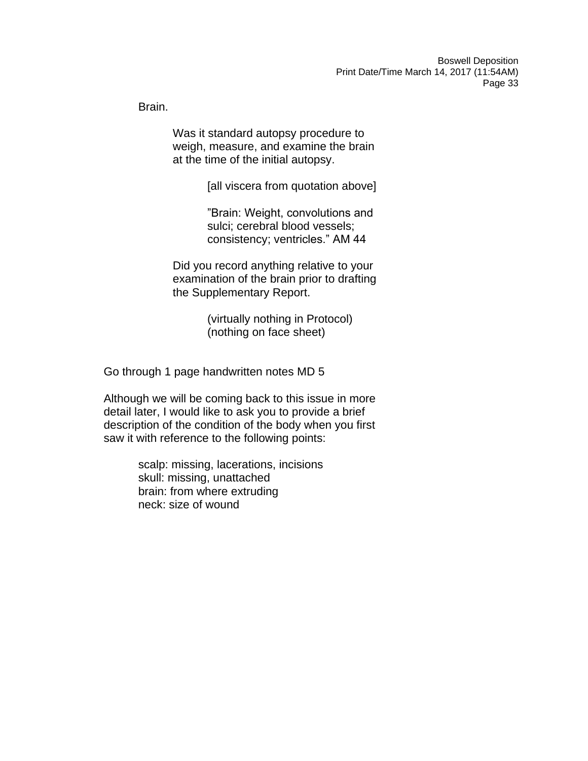Brain.

Was it standard autopsy procedure to weigh, measure, and examine the brain at the time of the initial autopsy.

[all viscera from quotation above]

"Brain: Weight, convolutions and sulci; cerebral blood vessels; consistency; ventricles." AM 44

Did you record anything relative to your examination of the brain prior to drafting the Supplementary Report.

> (virtually nothing in Protocol) (nothing on face sheet)

Go through 1 page handwritten notes MD 5

Although we will be coming back to this issue in more detail later, I would like to ask you to provide a brief description of the condition of the body when you first saw it with reference to the following points:

> scalp: missing, lacerations, incisions skull: missing, unattached brain: from where extruding neck: size of wound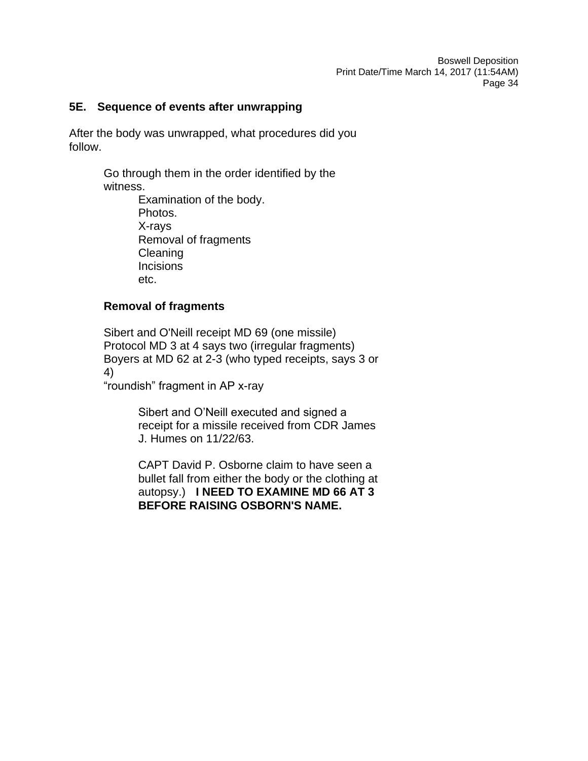## **5E. Sequence of events after unwrapping**

After the body was unwrapped, what procedures did you follow.

> Go through them in the order identified by the witness.

> > Examination of the body. Photos. X-rays Removal of fragments Cleaning **Incisions** etc.

## **Removal of fragments**

Sibert and O'Neill receipt MD 69 (one missile) Protocol MD 3 at 4 says two (irregular fragments) Boyers at MD 62 at 2-3 (who typed receipts, says 3 or 4)

"roundish" fragment in AP x-ray

Sibert and O'Neill executed and signed a receipt for a missile received from CDR James J. Humes on 11/22/63.

CAPT David P. Osborne claim to have seen a bullet fall from either the body or the clothing at autopsy.) **I NEED TO EXAMINE MD 66 AT 3 BEFORE RAISING OSBORN'S NAME.**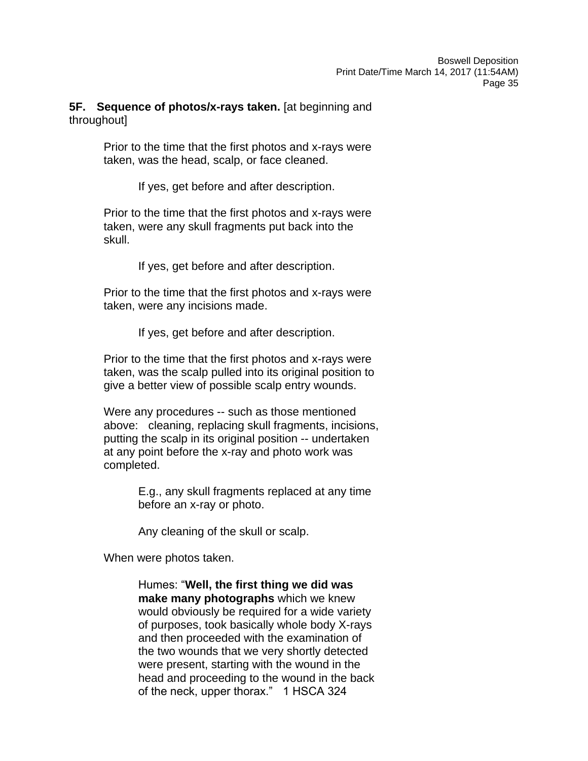# **5F. Sequence of photos/x-rays taken.** [at beginning and throughout]

Prior to the time that the first photos and x-rays were taken, was the head, scalp, or face cleaned.

If yes, get before and after description.

Prior to the time that the first photos and x-rays were taken, were any skull fragments put back into the skull.

If yes, get before and after description.

Prior to the time that the first photos and x-rays were taken, were any incisions made.

If yes, get before and after description.

Prior to the time that the first photos and x-rays were taken, was the scalp pulled into its original position to give a better view of possible scalp entry wounds.

Were any procedures -- such as those mentioned above: cleaning, replacing skull fragments, incisions, putting the scalp in its original position -- undertaken at any point before the x-ray and photo work was completed.

> E.g., any skull fragments replaced at any time before an x-ray or photo.

Any cleaning of the skull or scalp.

When were photos taken.

Humes: "**Well, the first thing we did was make many photographs** which we knew would obviously be required for a wide variety of purposes, took basically whole body X-rays and then proceeded with the examination of the two wounds that we very shortly detected were present, starting with the wound in the head and proceeding to the wound in the back of the neck, upper thorax." 1 HSCA 324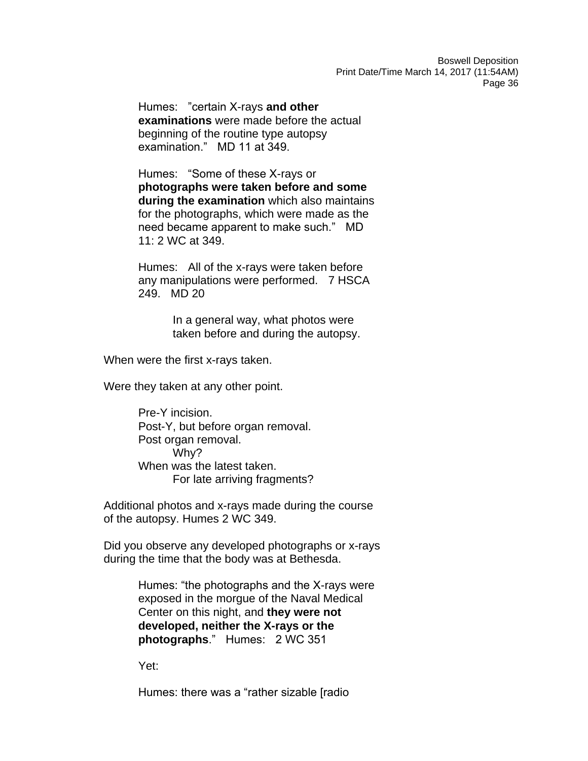Humes: "certain X-rays **and other examinations** were made before the actual beginning of the routine type autopsy examination." MD 11 at 349.

Humes: "Some of these X-rays or **photographs were taken before and some during the examination** which also maintains for the photographs, which were made as the need became apparent to make such." MD 11: 2 WC at 349.

Humes: All of the x-rays were taken before any manipulations were performed. 7 HSCA 249. MD 20

> In a general way, what photos were taken before and during the autopsy.

When were the first x-rays taken.

Were they taken at any other point.

Pre-Y incision. Post-Y, but before organ removal. Post organ removal. Why? When was the latest taken. For late arriving fragments?

Additional photos and x-rays made during the course of the autopsy. Humes 2 WC 349.

Did you observe any developed photographs or x-rays during the time that the body was at Bethesda.

> Humes: "the photographs and the X-rays were exposed in the morgue of the Naval Medical Center on this night, and **they were not developed, neither the X-rays or the photographs**." Humes: 2 WC 351

Yet:

Humes: there was a "rather sizable [radio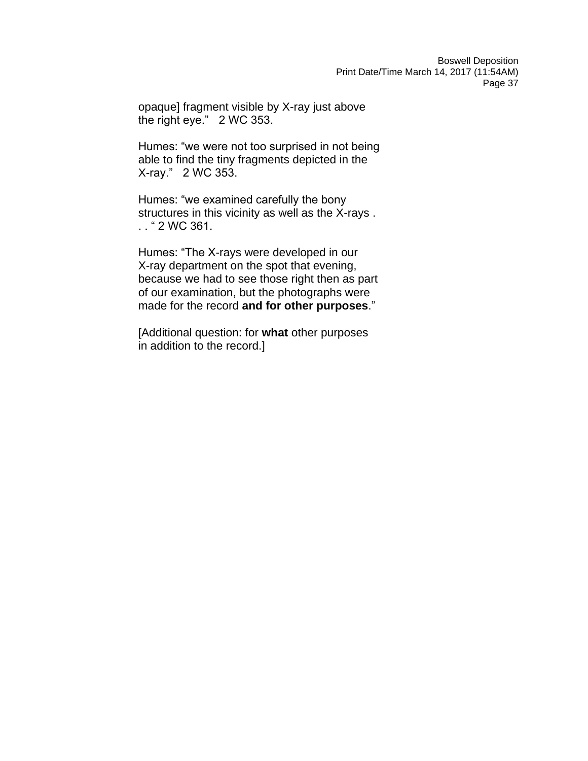opaque] fragment visible by X-ray just above the right eye." 2 WC 353.

Humes: "we were not too surprised in not being able to find the tiny fragments depicted in the X-ray." 2 WC 353.

Humes: "we examined carefully the bony structures in this vicinity as well as the X-rays . . . " 2 WC 361.

Humes: "The X-rays were developed in our X-ray department on the spot that evening, because we had to see those right then as part of our examination, but the photographs were made for the record **and for other purposes**."

[Additional question: for **what** other purposes in addition to the record.]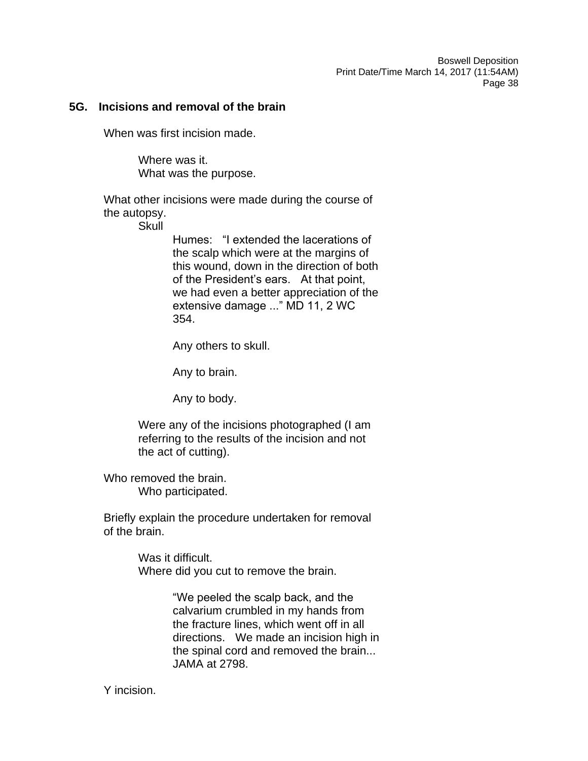#### **5G. Incisions and removal of the brain**

When was first incision made.

Where was it. What was the purpose.

What other incisions were made during the course of the autopsy.

**Skull** 

Humes: "I extended the lacerations of the scalp which were at the margins of this wound, down in the direction of both of the President's ears. At that point, we had even a better appreciation of the extensive damage ..." MD 11, 2 WC 354.

Any others to skull.

Any to brain.

Any to body.

Were any of the incisions photographed (I am referring to the results of the incision and not the act of cutting).

Who removed the brain. Who participated.

Briefly explain the procedure undertaken for removal of the brain.

> Was it difficult. Where did you cut to remove the brain.

> > "We peeled the scalp back, and the calvarium crumbled in my hands from the fracture lines, which went off in all directions. We made an incision high in the spinal cord and removed the brain... JAMA at 2798.

Y incision.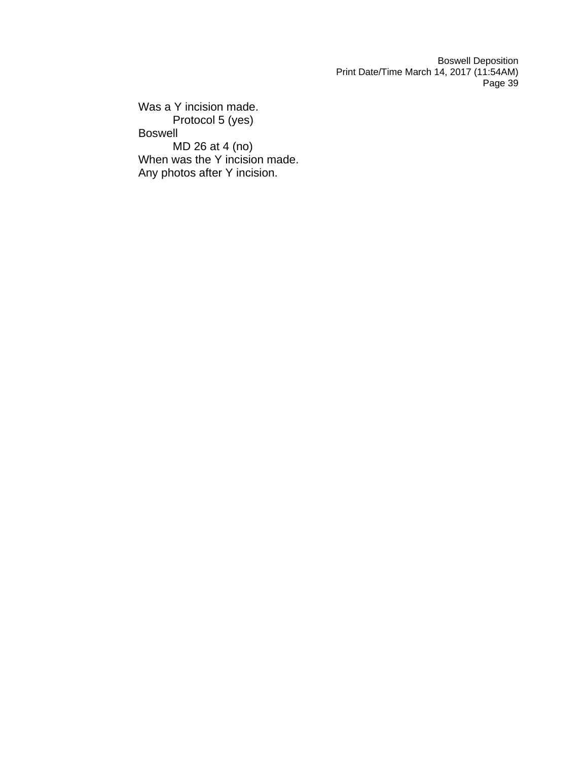Was a Y incision made. Protocol 5 (yes) Boswell MD 26 at 4 (no) When was the Y incision made. Any photos after Y incision.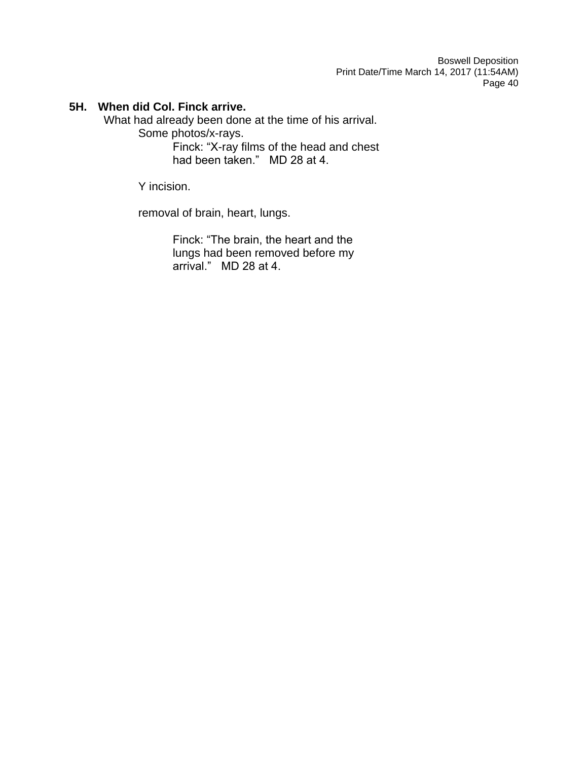# **5H. When did Col. Finck arrive.**

What had already been done at the time of his arrival.

Some photos/x-rays.

Finck: "X-ray films of the head and chest had been taken." MD 28 at 4.

Y incision.

removal of brain, heart, lungs.

Finck: "The brain, the heart and the lungs had been removed before my arrival." MD 28 at 4.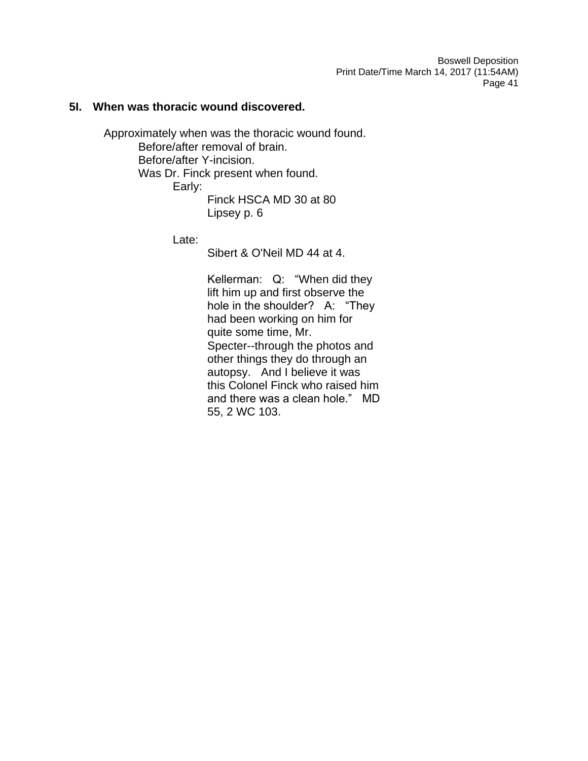### **5I. When was thoracic wound discovered.**

Approximately when was the thoracic wound found. Before/after removal of brain. Before/after Y-incision. Was Dr. Finck present when found. Early: Finck HSCA MD 30 at 80 Lipsey p. 6

Late:

Sibert & O'Neil MD 44 at 4.

Kellerman: Q: "When did they lift him up and first observe the hole in the shoulder? A: "They had been working on him for quite some time, Mr. Specter--through the photos and other things they do through an autopsy. And I believe it was this Colonel Finck who raised him and there was a clean hole." MD 55, 2 WC 103.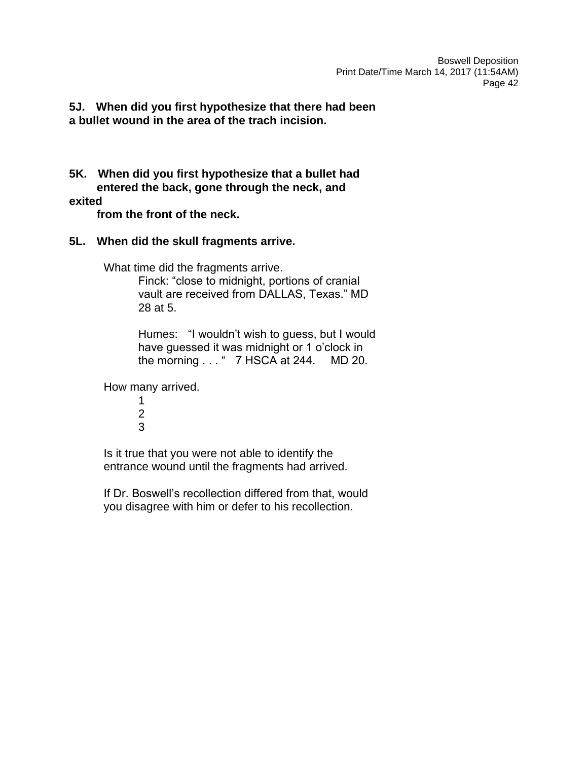**5J. When did you first hypothesize that there had been a bullet wound in the area of the trach incision.**

**5K. When did you first hypothesize that a bullet had entered the back, gone through the neck, and** 

# **exited**

 **from the front of the neck.** 

# **5L. When did the skull fragments arrive.**

What time did the fragments arrive.

Finck: "close to midnight, portions of cranial vault are received from DALLAS, Texas." MD 28 at 5.

Humes: "I wouldn't wish to guess, but I would have guessed it was midnight or 1 o'clock in the morning . . . " 7 HSCA at 244. MD 20.

How many arrived.

1 2 3

Is it true that you were not able to identify the entrance wound until the fragments had arrived.

If Dr. Boswell's recollection differed from that, would you disagree with him or defer to his recollection.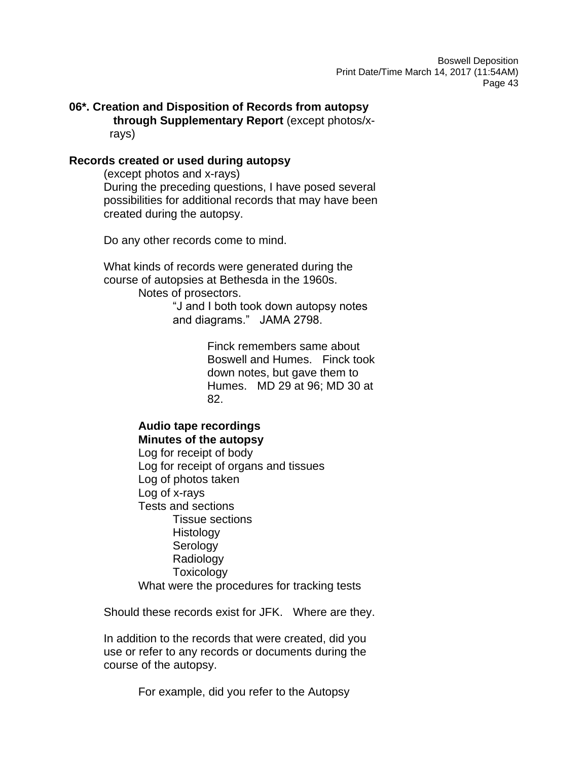**06\*. Creation and Disposition of Records from autopsy through Supplementary Report** (except photos/x rays)

#### **Records created or used during autopsy**

(except photos and x-rays) During the preceding questions, I have posed several possibilities for additional records that may have been created during the autopsy.

Do any other records come to mind.

What kinds of records were generated during the course of autopsies at Bethesda in the 1960s. Notes of prosectors.

> "J and I both took down autopsy notes and diagrams." JAMA 2798.

> > Finck remembers same about Boswell and Humes. Finck took down notes, but gave them to Humes. MD 29 at 96; MD 30 at 82.

#### **Audio tape recordings Minutes of the autopsy**

Log for receipt of body Log for receipt of organs and tissues Log of photos taken Log of x-rays Tests and sections Tissue sections Histology Serology Radiology **Toxicology** What were the procedures for tracking tests

Should these records exist for JFK. Where are they.

In addition to the records that were created, did you use or refer to any records or documents during the course of the autopsy.

For example, did you refer to the Autopsy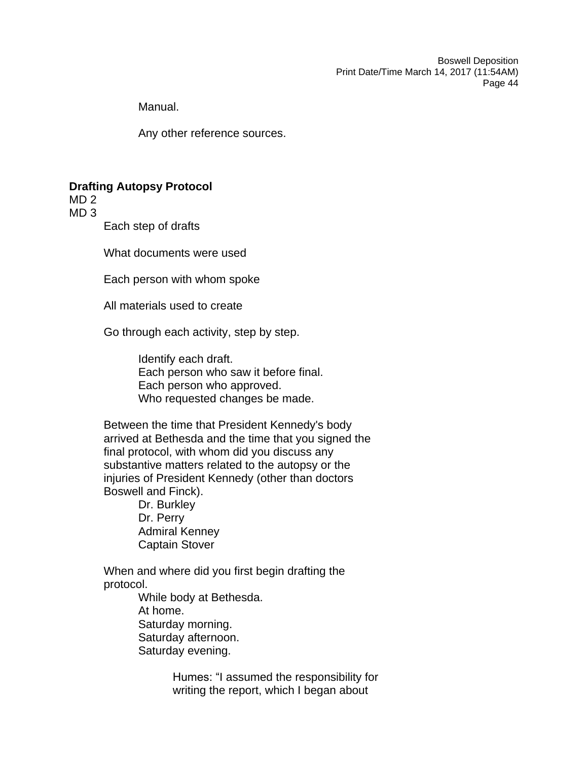Manual.

Any other reference sources.

# **Drafting Autopsy Protocol**

MD 2

MD 3

Each step of drafts

What documents were used

Each person with whom spoke

All materials used to create

Go through each activity, step by step.

Identify each draft. Each person who saw it before final. Each person who approved. Who requested changes be made.

Between the time that President Kennedy's body arrived at Bethesda and the time that you signed the final protocol, with whom did you discuss any substantive matters related to the autopsy or the injuries of President Kennedy (other than doctors Boswell and Finck).

> Dr. Burkley Dr. Perry Admiral Kenney Captain Stover

When and where did you first begin drafting the protocol.

> While body at Bethesda. At home. Saturday morning. Saturday afternoon. Saturday evening.

> > Humes: "I assumed the responsibility for writing the report, which I began about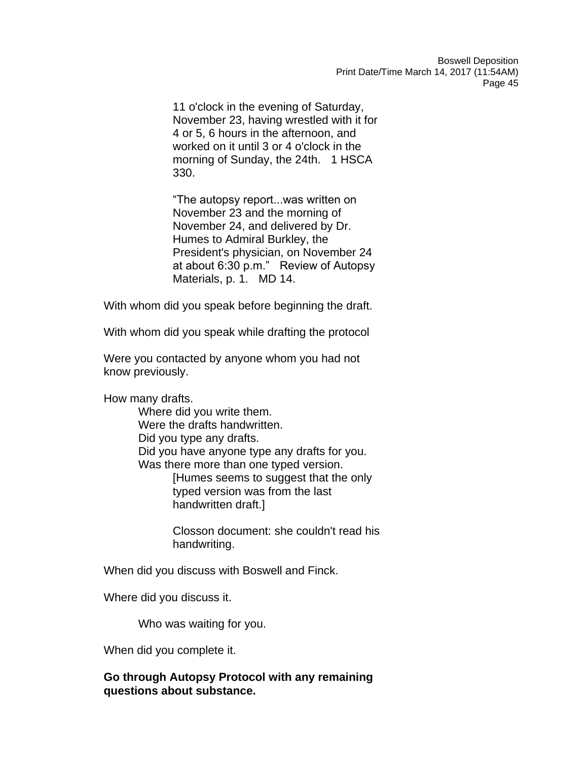11 o'clock in the evening of Saturday, November 23, having wrestled with it for 4 or 5, 6 hours in the afternoon, and worked on it until 3 or 4 o'clock in the morning of Sunday, the 24th. 1 HSCA 330.

"The autopsy report...was written on November 23 and the morning of November 24, and delivered by Dr. Humes to Admiral Burkley, the President's physician, on November 24 at about 6:30 p.m." Review of Autopsy Materials, p. 1. MD 14.

With whom did you speak before beginning the draft.

With whom did you speak while drafting the protocol

Were you contacted by anyone whom you had not know previously.

How many drafts.

Where did you write them. Were the drafts handwritten. Did you type any drafts. Did you have anyone type any drafts for you. Was there more than one typed version. [Humes seems to suggest that the only typed version was from the last handwritten draft.]

> Closson document: she couldn't read his handwriting.

When did you discuss with Boswell and Finck.

Where did you discuss it.

Who was waiting for you.

When did you complete it.

# **Go through Autopsy Protocol with any remaining questions about substance.**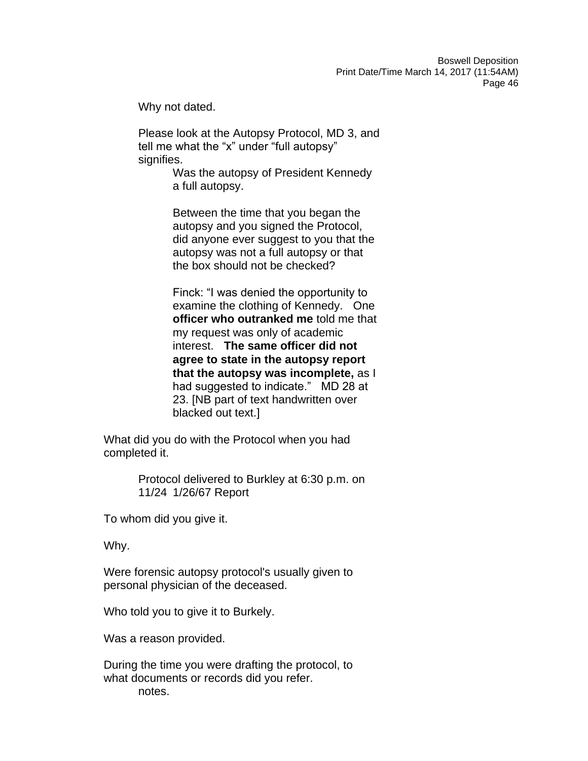Why not dated.

Please look at the Autopsy Protocol, MD 3, and tell me what the "x" under "full autopsy" signifies.

> Was the autopsy of President Kennedy a full autopsy.

Between the time that you began the autopsy and you signed the Protocol, did anyone ever suggest to you that the autopsy was not a full autopsy or that the box should not be checked?

Finck: "I was denied the opportunity to examine the clothing of Kennedy. One **officer who outranked me** told me that my request was only of academic interest. **The same officer did not agree to state in the autopsy report that the autopsy was incomplete,** as I had suggested to indicate." MD 28 at 23. [NB part of text handwritten over blacked out text.]

What did you do with the Protocol when you had completed it.

> Protocol delivered to Burkley at 6:30 p.m. on 11/24 1/26/67 Report

To whom did you give it.

Why.

Were forensic autopsy protocol's usually given to personal physician of the deceased.

Who told you to give it to Burkely.

Was a reason provided.

During the time you were drafting the protocol, to what documents or records did you refer. notes.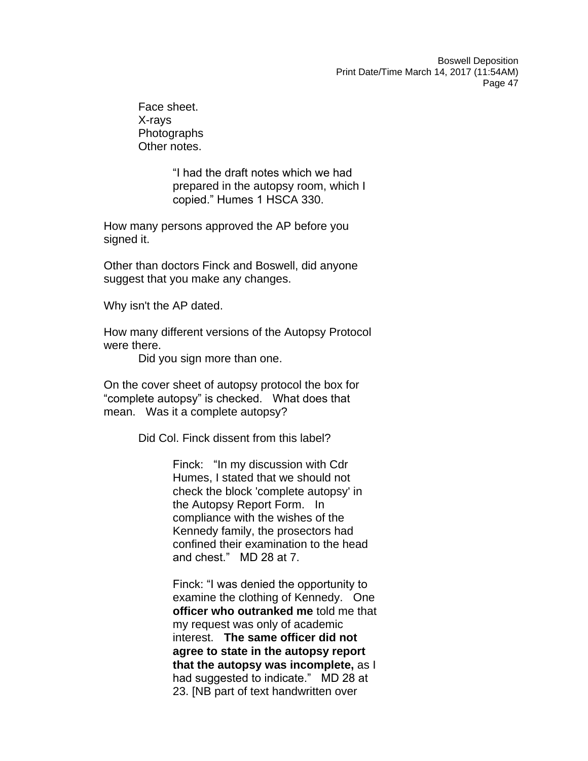Face sheet. X-rays **Photographs** Other notes.

> "I had the draft notes which we had prepared in the autopsy room, which I copied." Humes 1 HSCA 330.

How many persons approved the AP before you signed it.

Other than doctors Finck and Boswell, did anyone suggest that you make any changes.

Why isn't the AP dated.

How many different versions of the Autopsy Protocol were there.

Did you sign more than one.

On the cover sheet of autopsy protocol the box for "complete autopsy" is checked. What does that mean. Was it a complete autopsy?

Did Col. Finck dissent from this label?

Finck: "In my discussion with Cdr Humes, I stated that we should not check the block 'complete autopsy' in the Autopsy Report Form. In compliance with the wishes of the Kennedy family, the prosectors had confined their examination to the head and chest." MD 28 at 7.

Finck: "I was denied the opportunity to examine the clothing of Kennedy. One **officer who outranked me** told me that my request was only of academic interest. **The same officer did not agree to state in the autopsy report that the autopsy was incomplete,** as I had suggested to indicate." MD 28 at 23. [NB part of text handwritten over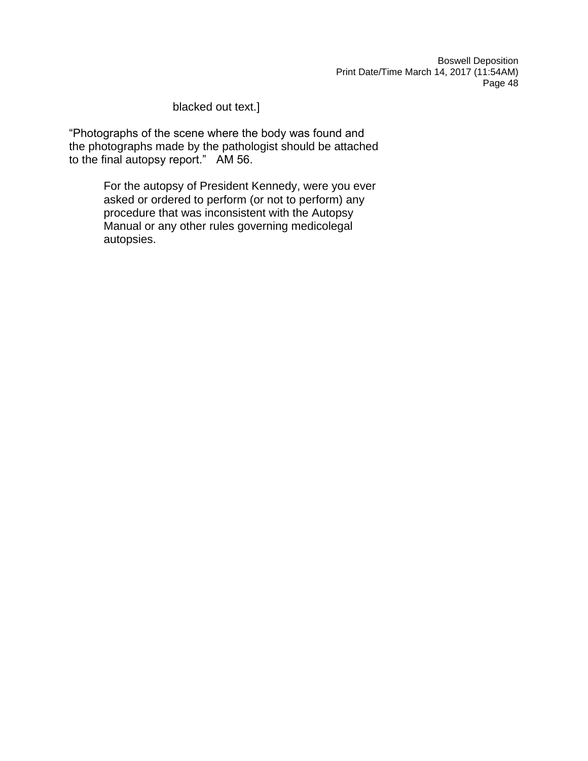# blacked out text.]

"Photographs of the scene where the body was found and the photographs made by the pathologist should be attached to the final autopsy report." AM 56.

> For the autopsy of President Kennedy, were you ever asked or ordered to perform (or not to perform) any procedure that was inconsistent with the Autopsy Manual or any other rules governing medicolegal autopsies.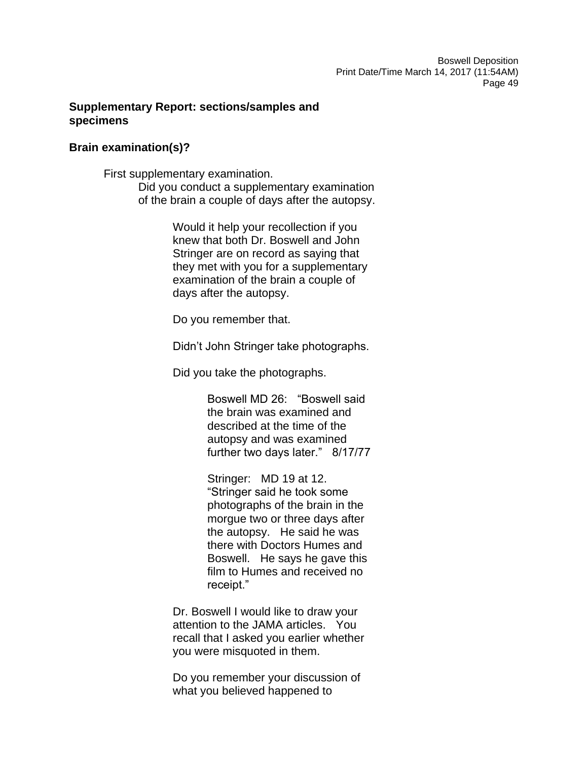# **Supplementary Report: sections/samples and specimens**

### **Brain examination(s)?**

First supplementary examination. Did you conduct a supplementary examination of the brain a couple of days after the autopsy.

> Would it help your recollection if you knew that both Dr. Boswell and John Stringer are on record as saying that they met with you for a supplementary examination of the brain a couple of days after the autopsy.

Do you remember that.

Didn't John Stringer take photographs.

Did you take the photographs.

Boswell MD 26: "Boswell said the brain was examined and described at the time of the autopsy and was examined further two days later." 8/17/77

Stringer: MD 19 at 12. "Stringer said he took some photographs of the brain in the morgue two or three days after the autopsy. He said he was there with Doctors Humes and Boswell. He says he gave this film to Humes and received no receipt."

Dr. Boswell I would like to draw your attention to the JAMA articles. You recall that I asked you earlier whether you were misquoted in them.

Do you remember your discussion of what you believed happened to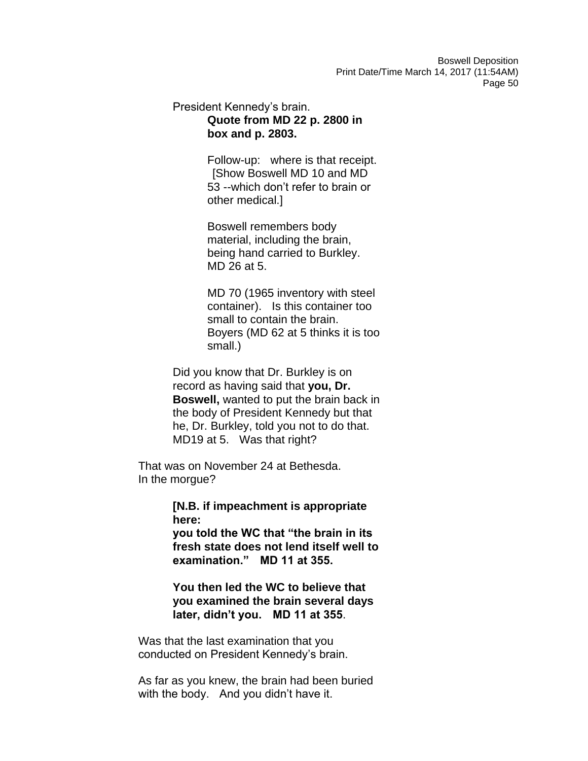# President Kennedy's brain. **Quote from MD 22 p. 2800 in box and p. 2803.**

Follow-up: where is that receipt. [Show Boswell MD 10 and MD 53 --which don't refer to brain or other medical.]

Boswell remembers body material, including the brain, being hand carried to Burkley. MD 26 at 5.

MD 70 (1965 inventory with steel container). Is this container too small to contain the brain. Boyers (MD 62 at 5 thinks it is too small.)

Did you know that Dr. Burkley is on record as having said that **you, Dr. Boswell,** wanted to put the brain back in the body of President Kennedy but that he, Dr. Burkley, told you not to do that. MD19 at 5. Was that right?

That was on November 24 at Bethesda. In the morgue?

> **[N.B. if impeachment is appropriate here:**

**you told the WC that "the brain in its fresh state does not lend itself well to examination." MD 11 at 355.** 

**You then led the WC to believe that you examined the brain several days later, didn't you. MD 11 at 355**.

Was that the last examination that you conducted on President Kennedy's brain.

As far as you knew, the brain had been buried with the body. And you didn't have it.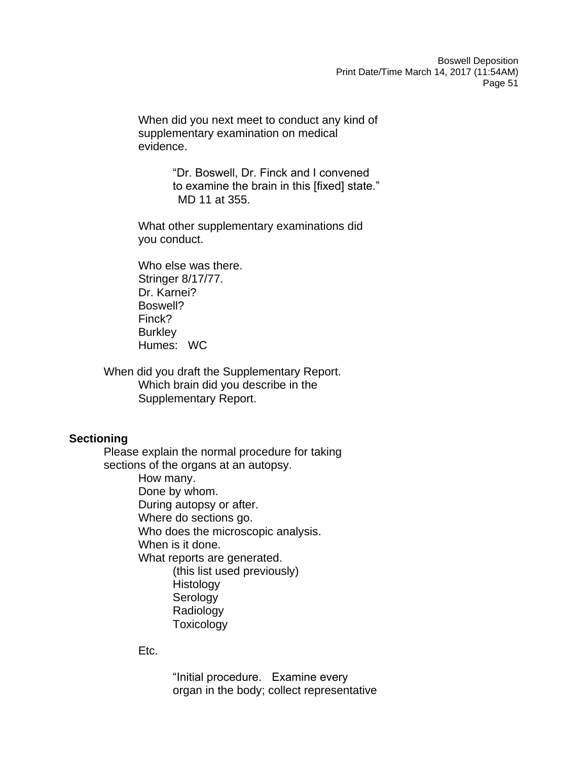When did you next meet to conduct any kind of supplementary examination on medical evidence.

> "Dr. Boswell, Dr. Finck and I convened to examine the brain in this [fixed] state." MD 11 at 355.

What other supplementary examinations did you conduct.

Who else was there. Stringer 8/17/77. Dr. Karnei? Boswell? Finck? Burkley Humes: WC

When did you draft the Supplementary Report. Which brain did you describe in the Supplementary Report.

### **Sectioning**

Please explain the normal procedure for taking sections of the organs at an autopsy. How many. Done by whom. During autopsy or after. Where do sections go. Who does the microscopic analysis. When is it done. What reports are generated. (this list used previously) Histology Serology Radiology **Toxicology** 

### Etc.

"Initial procedure. Examine every organ in the body; collect representative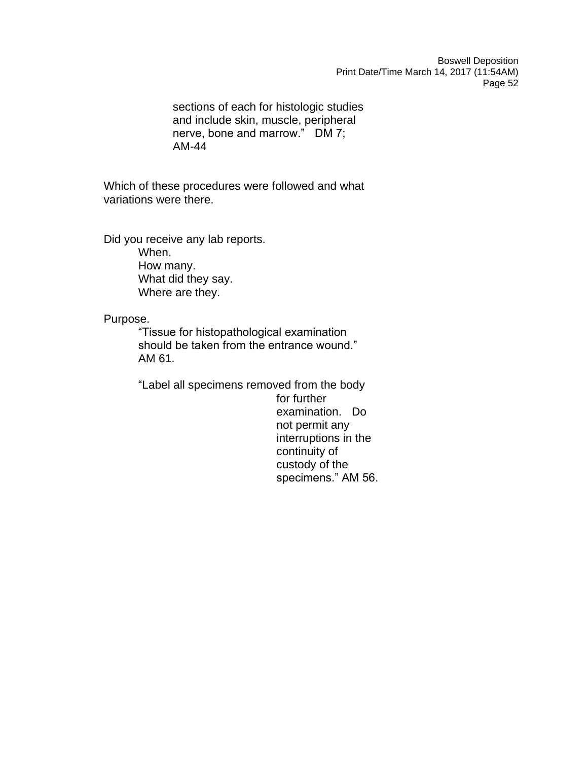sections of each for histologic studies and include skin, muscle, peripheral nerve, bone and marrow." DM 7; AM-44

Which of these procedures were followed and what variations were there.

Did you receive any lab reports. When. How many. What did they say. Where are they.

Purpose.

"Tissue for histopathological examination should be taken from the entrance wound." AM 61.

"Label all specimens removed from the body for further examination. Do not permit any interruptions in the continuity of custody of the specimens." AM 56.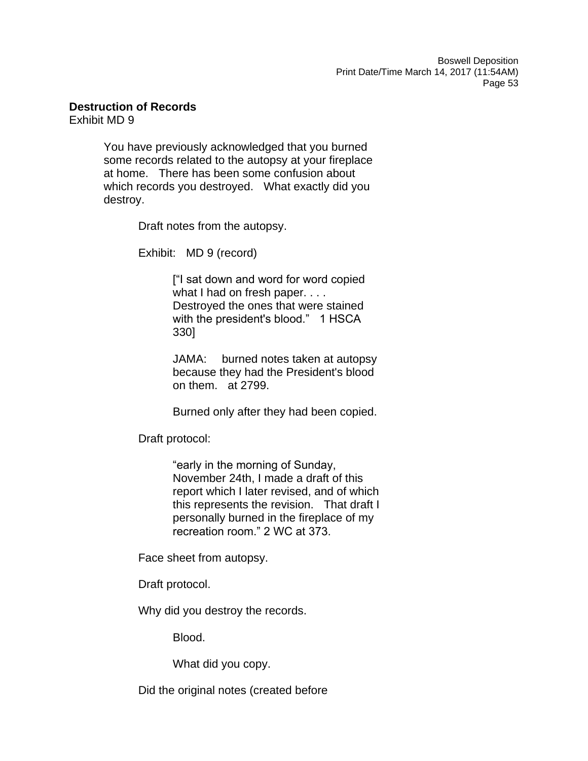**Destruction of Records**

Exhibit MD 9

You have previously acknowledged that you burned some records related to the autopsy at your fireplace at home. There has been some confusion about which records you destroyed. What exactly did you destroy.

Draft notes from the autopsy.

Exhibit: MD 9 (record)

["I sat down and word for word copied what I had on fresh paper. . . . Destroyed the ones that were stained with the president's blood." 1 HSCA 330]

JAMA: burned notes taken at autopsy because they had the President's blood on them. at 2799.

Burned only after they had been copied.

Draft protocol:

"early in the morning of Sunday, November 24th, I made a draft of this report which I later revised, and of which this represents the revision. That draft I personally burned in the fireplace of my recreation room." 2 WC at 373.

Face sheet from autopsy.

Draft protocol.

Why did you destroy the records.

Blood.

What did you copy.

Did the original notes (created before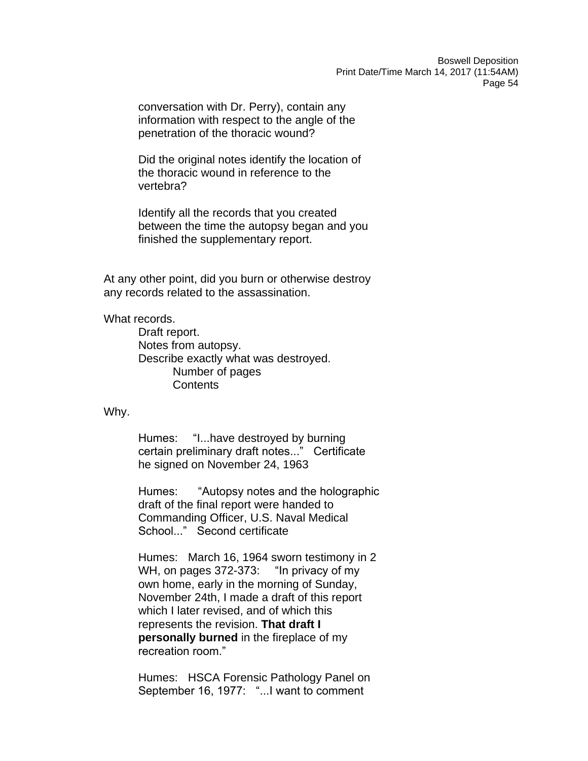conversation with Dr. Perry), contain any information with respect to the angle of the penetration of the thoracic wound?

Did the original notes identify the location of the thoracic wound in reference to the vertebra?

Identify all the records that you created between the time the autopsy began and you finished the supplementary report.

At any other point, did you burn or otherwise destroy any records related to the assassination.

#### What records.

Draft report. Notes from autopsy. Describe exactly what was destroyed. Number of pages **Contents** 

Why.

Humes: "I...have destroyed by burning certain preliminary draft notes..." Certificate he signed on November 24, 1963

Humes: "Autopsy notes and the holographic draft of the final report were handed to Commanding Officer, U.S. Naval Medical School..." Second certificate

Humes: March 16, 1964 sworn testimony in 2 WH, on pages 372-373: "In privacy of my own home, early in the morning of Sunday, November 24th, I made a draft of this report which I later revised, and of which this represents the revision. **That draft I personally burned** in the fireplace of my recreation room."

Humes: HSCA Forensic Pathology Panel on September 16, 1977: "...I want to comment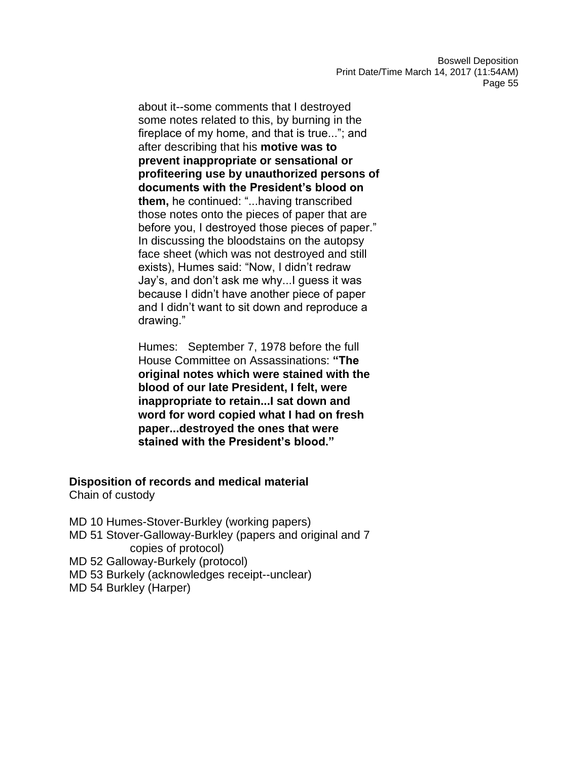about it--some comments that I destroyed some notes related to this, by burning in the fireplace of my home, and that is true..."; and after describing that his **motive was to prevent inappropriate or sensational or profiteering use by unauthorized persons of documents with the President's blood on them,** he continued: "...having transcribed those notes onto the pieces of paper that are before you, I destroyed those pieces of paper." In discussing the bloodstains on the autopsy face sheet (which was not destroyed and still exists), Humes said: "Now, I didn't redraw Jay's, and don't ask me why...I guess it was because I didn't have another piece of paper and I didn't want to sit down and reproduce a drawing."

Humes: September 7, 1978 before the full House Committee on Assassinations: **"The original notes which were stained with the blood of our late President, I felt, were inappropriate to retain...I sat down and word for word copied what I had on fresh paper...destroyed the ones that were stained with the President's blood."** 

# **Disposition of records and medical material**

Chain of custody

MD 10 Humes-Stover-Burkley (working papers) MD 51 Stover-Galloway-Burkley (papers and original and 7 copies of protocol)

- MD 52 Galloway-Burkely (protocol)
- MD 53 Burkely (acknowledges receipt--unclear)
- MD 54 Burkley (Harper)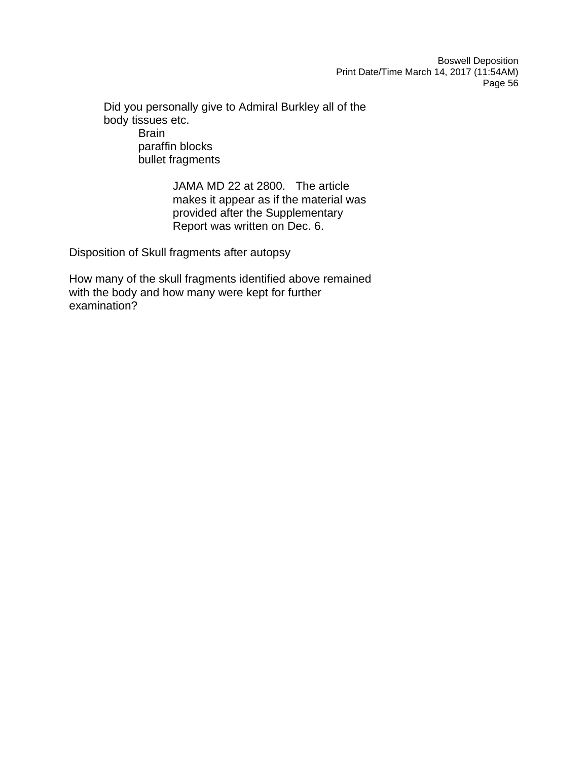Did you personally give to Admiral Burkley all of the body tissues etc. **Brain** paraffin blocks bullet fragments

> JAMA MD 22 at 2800. The article makes it appear as if the material was provided after the Supplementary Report was written on Dec. 6.

Disposition of Skull fragments after autopsy

How many of the skull fragments identified above remained with the body and how many were kept for further examination?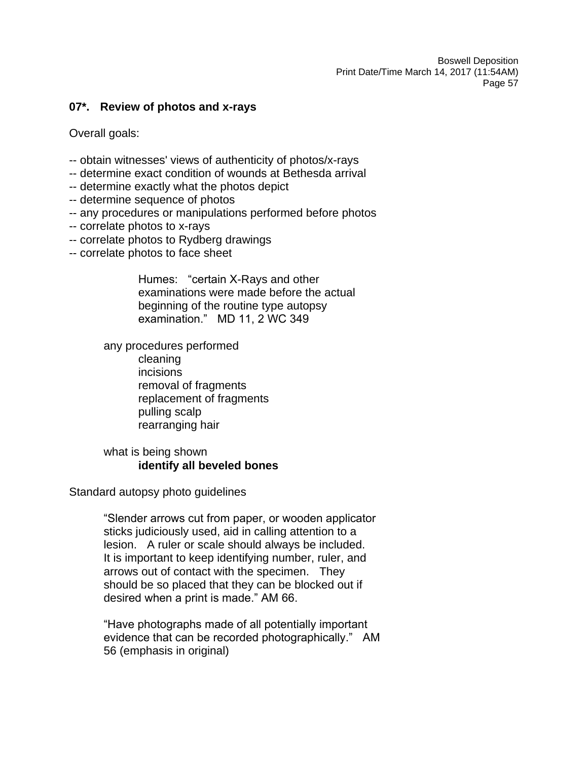#### **07\*. Review of photos and x-rays**

Overall goals:

- -- obtain witnesses' views of authenticity of photos/x-rays
- -- determine exact condition of wounds at Bethesda arrival
- -- determine exactly what the photos depict
- -- determine sequence of photos
- -- any procedures or manipulations performed before photos
- -- correlate photos to x-rays
- -- correlate photos to Rydberg drawings
- -- correlate photos to face sheet

Humes: "certain X-Rays and other examinations were made before the actual beginning of the routine type autopsy examination." MD 11, 2 WC 349

any procedures performed

cleaning incisions removal of fragments replacement of fragments pulling scalp rearranging hair

# what is being shown **identify all beveled bones**

#### Standard autopsy photo guidelines

"Slender arrows cut from paper, or wooden applicator sticks judiciously used, aid in calling attention to a lesion. A ruler or scale should always be included. It is important to keep identifying number, ruler, and arrows out of contact with the specimen. They should be so placed that they can be blocked out if desired when a print is made." AM 66.

"Have photographs made of all potentially important evidence that can be recorded photographically." AM 56 (emphasis in original)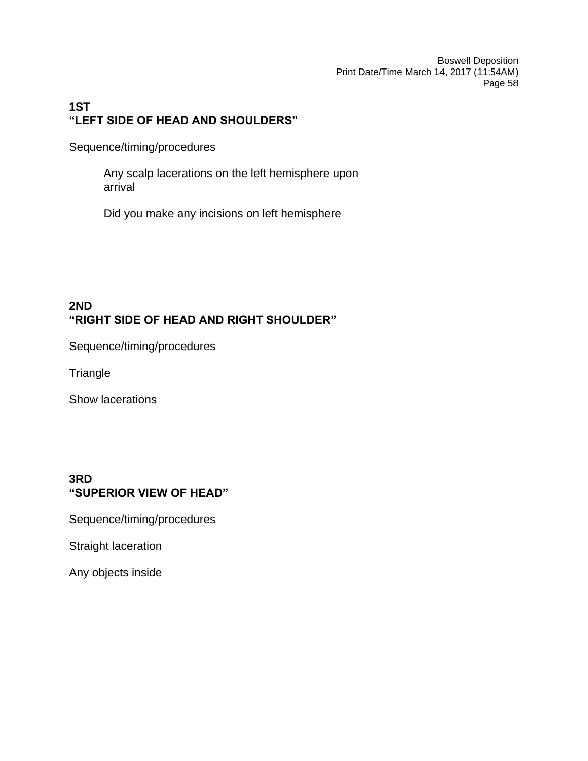# **1ST "LEFT SIDE OF HEAD AND SHOULDERS"**

Sequence/timing/procedures

Any scalp lacerations on the left hemisphere upon arrival

Did you make any incisions on left hemisphere

# **2ND "RIGHT SIDE OF HEAD AND RIGHT SHOULDER"**

Sequence/timing/procedures

**Triangle** 

Show lacerations

### **3RD "SUPERIOR VIEW OF HEAD"**

Sequence/timing/procedures

Straight laceration

Any objects inside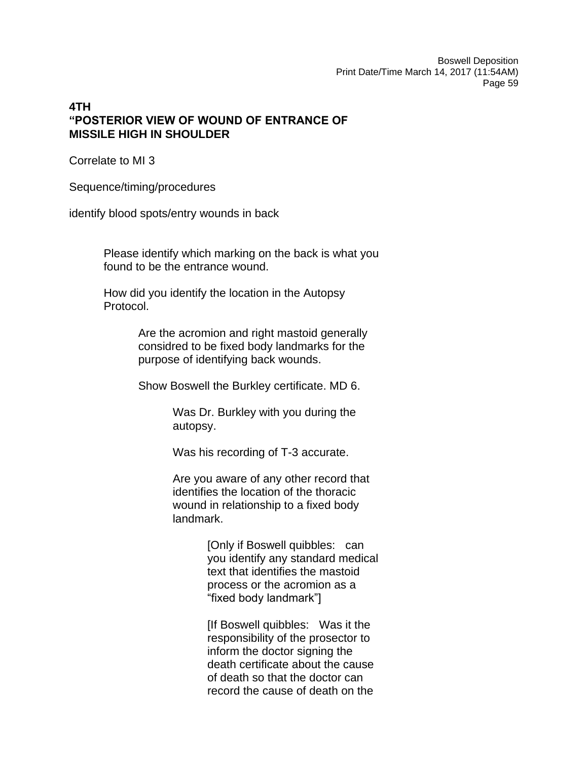# **4TH "POSTERIOR VIEW OF WOUND OF ENTRANCE OF MISSILE HIGH IN SHOULDER**

Correlate to MI 3

Sequence/timing/procedures

identify blood spots/entry wounds in back

Please identify which marking on the back is what you found to be the entrance wound.

How did you identify the location in the Autopsy Protocol.

> Are the acromion and right mastoid generally considred to be fixed body landmarks for the purpose of identifying back wounds.

Show Boswell the Burkley certificate. MD 6.

Was Dr. Burkley with you during the autopsy.

Was his recording of T-3 accurate.

Are you aware of any other record that identifies the location of the thoracic wound in relationship to a fixed body landmark.

> [Only if Boswell quibbles: can you identify any standard medical text that identifies the mastoid process or the acromion as a "fixed body landmark"]

[If Boswell quibbles: Was it the responsibility of the prosector to inform the doctor signing the death certificate about the cause of death so that the doctor can record the cause of death on the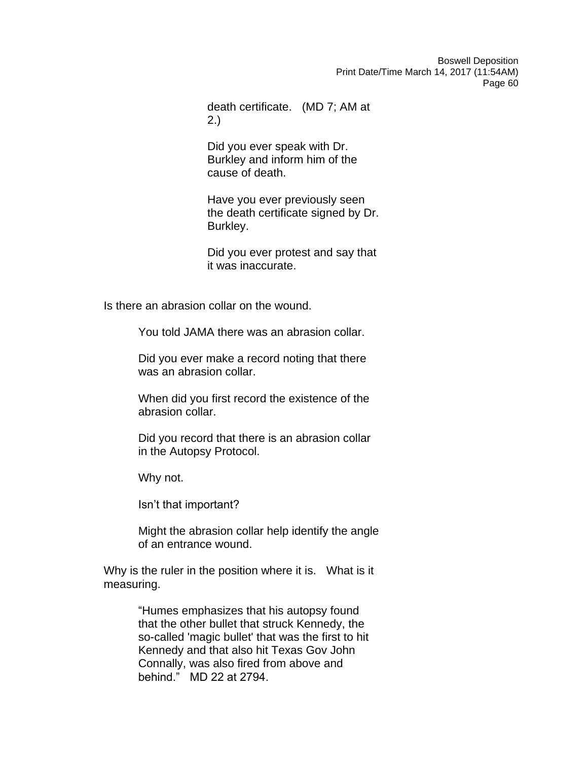death certificate. (MD 7; AM at 2.)

Did you ever speak with Dr. Burkley and inform him of the cause of death.

Have you ever previously seen the death certificate signed by Dr. Burkley.

Did you ever protest and say that it was inaccurate.

Is there an abrasion collar on the wound.

You told JAMA there was an abrasion collar.

Did you ever make a record noting that there was an abrasion collar.

When did you first record the existence of the abrasion collar.

Did you record that there is an abrasion collar in the Autopsy Protocol.

Why not.

Isn't that important?

Might the abrasion collar help identify the angle of an entrance wound.

Why is the ruler in the position where it is. What is it measuring.

> "Humes emphasizes that his autopsy found that the other bullet that struck Kennedy, the so-called 'magic bullet' that was the first to hit Kennedy and that also hit Texas Gov John Connally, was also fired from above and behind." MD 22 at 2794.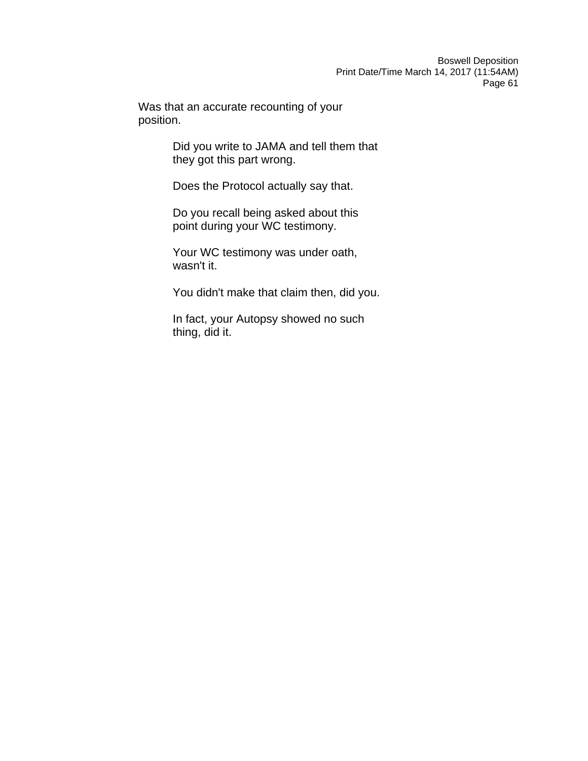Was that an accurate recounting of your position.

> Did you write to JAMA and tell them that they got this part wrong.

Does the Protocol actually say that.

Do you recall being asked about this point during your WC testimony.

Your WC testimony was under oath, wasn't it.

You didn't make that claim then, did you.

In fact, your Autopsy showed no such thing, did it.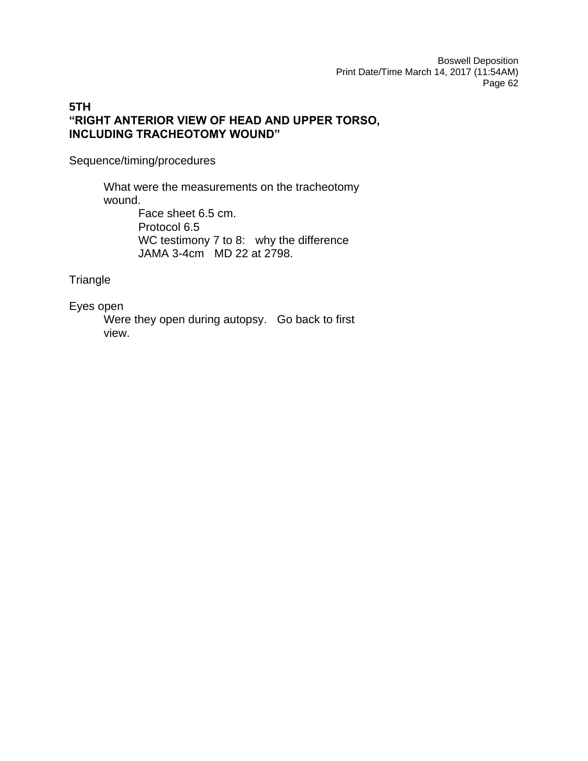# **5TH "RIGHT ANTERIOR VIEW OF HEAD AND UPPER TORSO, INCLUDING TRACHEOTOMY WOUND"**

Sequence/timing/procedures

What were the measurements on the tracheotomy wound. Face sheet 6.5 cm. Protocol 6.5 WC testimony 7 to 8: why the difference JAMA 3-4cm MD 22 at 2798.

**Triangle** 

Eyes open

Were they open during autopsy. Go back to first view.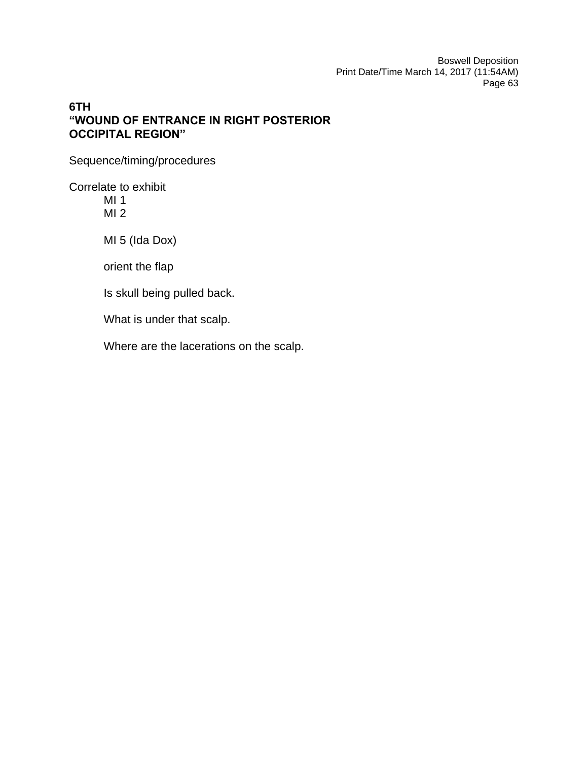# **6TH "WOUND OF ENTRANCE IN RIGHT POSTERIOR OCCIPITAL REGION"**

Sequence/timing/procedures

Correlate to exhibit

MI 1 MI 2

MI 5 (Ida Dox)

orient the flap

Is skull being pulled back.

What is under that scalp.

Where are the lacerations on the scalp.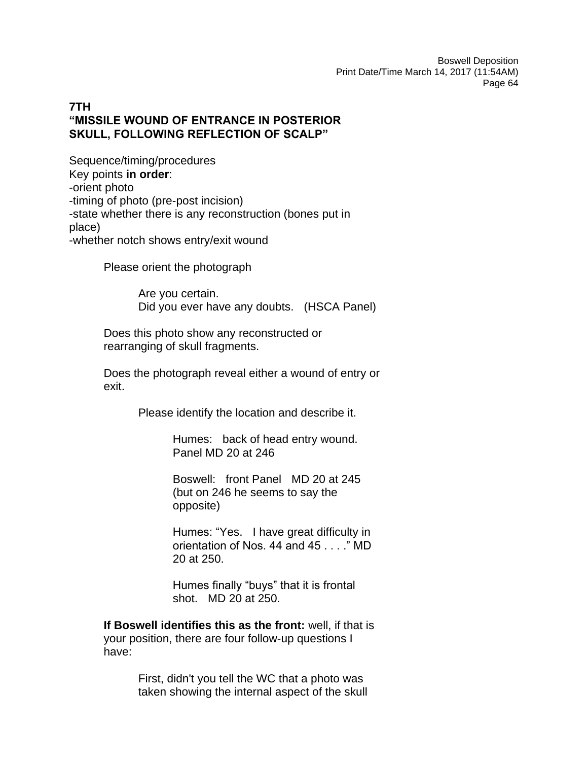# **7TH "MISSILE WOUND OF ENTRANCE IN POSTERIOR SKULL, FOLLOWING REFLECTION OF SCALP"**

Sequence/timing/procedures Key points **in order**: -orient photo -timing of photo (pre-post incision) -state whether there is any reconstruction (bones put in place) -whether notch shows entry/exit wound

Please orient the photograph

Are you certain. Did you ever have any doubts. (HSCA Panel)

Does this photo show any reconstructed or rearranging of skull fragments.

Does the photograph reveal either a wound of entry or exit.

Please identify the location and describe it.

Humes: back of head entry wound. Panel MD 20 at 246

Boswell: front Panel MD 20 at 245 (but on 246 he seems to say the opposite)

Humes: "Yes. I have great difficulty in orientation of Nos. 44 and 45 . . . ." MD 20 at 250.

Humes finally "buys" that it is frontal shot. MD 20 at 250.

**If Boswell identifies this as the front:** well, if that is your position, there are four follow-up questions I have:

> First, didn't you tell the WC that a photo was taken showing the internal aspect of the skull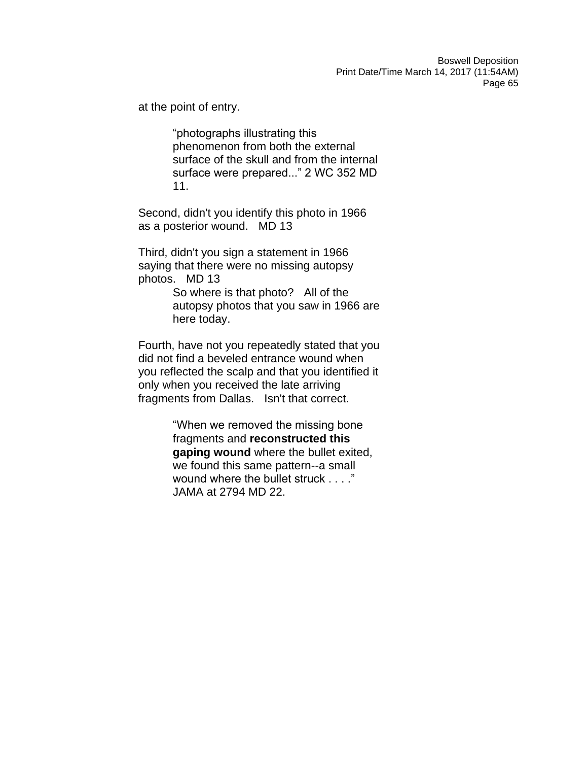at the point of entry.

"photographs illustrating this phenomenon from both the external surface of the skull and from the internal surface were prepared..." 2 WC 352 MD 11.

Second, didn't you identify this photo in 1966 as a posterior wound. MD 13

Third, didn't you sign a statement in 1966 saying that there were no missing autopsy photos. MD 13

> So where is that photo? All of the autopsy photos that you saw in 1966 are here today.

Fourth, have not you repeatedly stated that you did not find a beveled entrance wound when you reflected the scalp and that you identified it only when you received the late arriving fragments from Dallas. Isn't that correct.

> "When we removed the missing bone fragments and **reconstructed this gaping wound** where the bullet exited, we found this same pattern--a small wound where the bullet struck . . . ." JAMA at 2794 MD 22.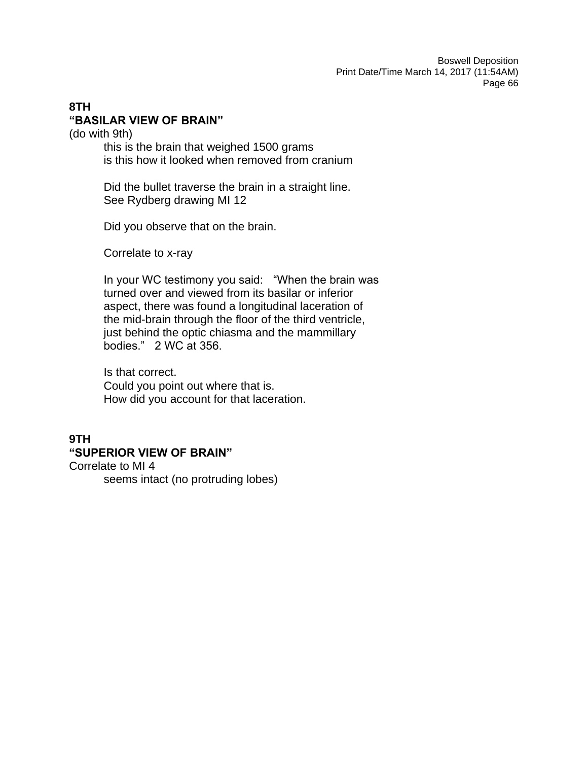# **8TH "BASILAR VIEW OF BRAIN"**

(do with 9th)

this is the brain that weighed 1500 grams is this how it looked when removed from cranium

Did the bullet traverse the brain in a straight line. See Rydberg drawing MI 12

Did you observe that on the brain.

Correlate to x-ray

In your WC testimony you said: "When the brain was turned over and viewed from its basilar or inferior aspect, there was found a longitudinal laceration of the mid-brain through the floor of the third ventricle, just behind the optic chiasma and the mammillary bodies." 2 WC at 356.

Is that correct. Could you point out where that is. How did you account for that laceration.

# **9TH "SUPERIOR VIEW OF BRAIN"**

Correlate to MI 4 seems intact (no protruding lobes)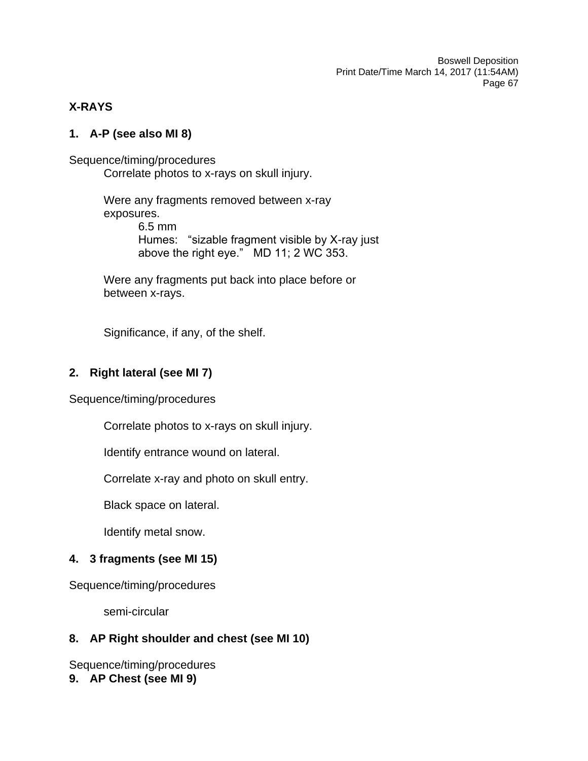# **X-RAYS**

# **1. A-P (see also MI 8)**

Sequence/timing/procedures Correlate photos to x-rays on skull injury.

> Were any fragments removed between x-ray exposures. 6.5 mm Humes: "sizable fragment visible by X-ray just above the right eye." MD 11; 2 WC 353.

Were any fragments put back into place before or between x-rays.

Significance, if any, of the shelf.

# **2. Right lateral (see MI 7)**

Sequence/timing/procedures

Correlate photos to x-rays on skull injury.

Identify entrance wound on lateral.

Correlate x-ray and photo on skull entry.

Black space on lateral.

Identify metal snow.

# **4. 3 fragments (see MI 15)**

Sequence/timing/procedures

semi-circular

# **8. AP Right shoulder and chest (see MI 10)**

Sequence/timing/procedures

**9. AP Chest (see MI 9)**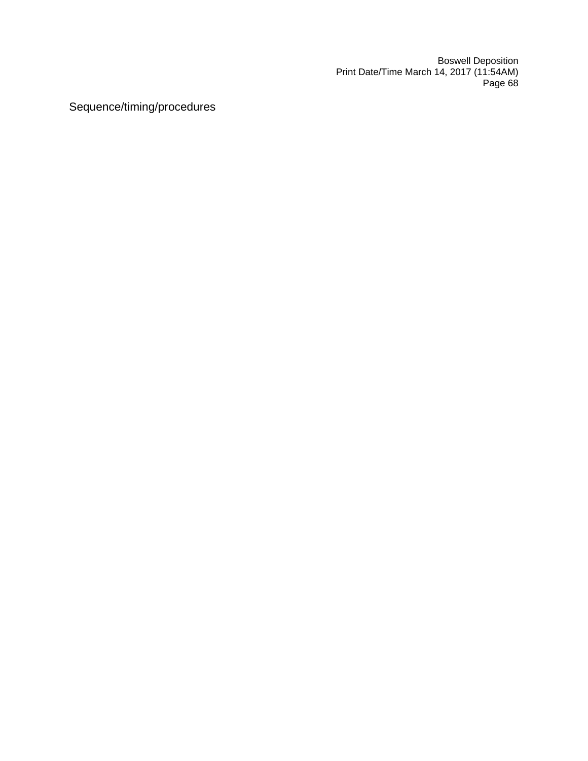Sequence/timing/procedures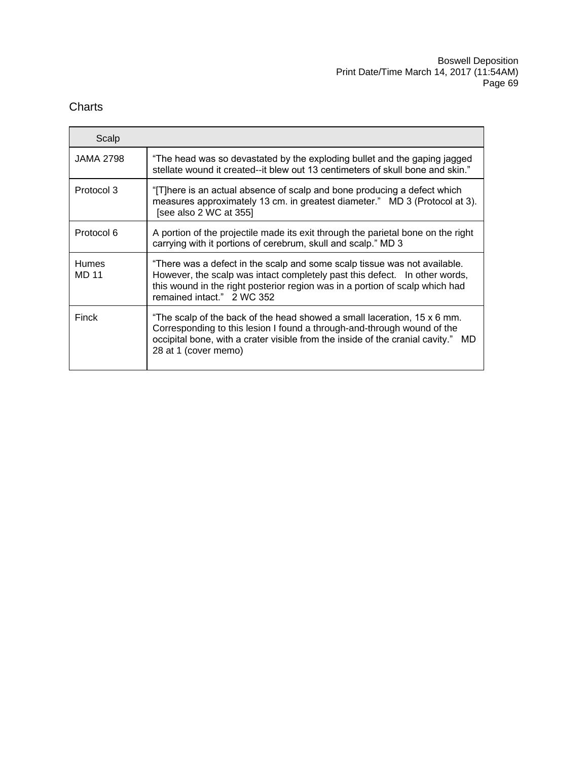# **Charts**

| Scalp                 |                                                                                                                                                                                                                                                                       |
|-----------------------|-----------------------------------------------------------------------------------------------------------------------------------------------------------------------------------------------------------------------------------------------------------------------|
| <b>JAMA 2798</b>      | "The head was so devastated by the exploding bullet and the gaping jagged<br>stellate wound it created--it blew out 13 centimeters of skull bone and skin."                                                                                                           |
| Protocol 3            | "[T]here is an actual absence of scalp and bone producing a defect which<br>measures approximately 13 cm. in greatest diameter." MD 3 (Protocol at 3).<br>[see also 2 WC at 355]                                                                                      |
| Protocol 6            | A portion of the projectile made its exit through the parietal bone on the right<br>carrying with it portions of cerebrum, skull and scalp." MD 3                                                                                                                     |
| <b>Humes</b><br>MD 11 | "There was a defect in the scalp and some scalp tissue was not available.<br>However, the scalp was intact completely past this defect. In other words,<br>this wound in the right posterior region was in a portion of scalp which had<br>remained intact." 2 WC 352 |
| Finck                 | "The scalp of the back of the head showed a small laceration, 15 x 6 mm.<br>Corresponding to this lesion I found a through-and-through wound of the<br>occipital bone, with a crater visible from the inside of the cranial cavity."<br>MD.<br>28 at 1 (cover memo)   |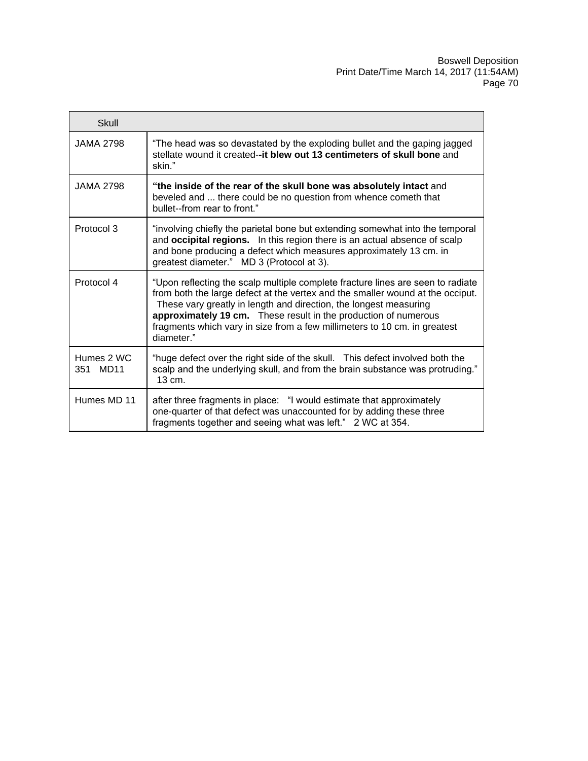| Skull                                 |                                                                                                                                                                                                                                                                                                                                                                                                      |
|---------------------------------------|------------------------------------------------------------------------------------------------------------------------------------------------------------------------------------------------------------------------------------------------------------------------------------------------------------------------------------------------------------------------------------------------------|
| <b>JAMA 2798</b>                      | "The head was so devastated by the exploding bullet and the gaping jagged<br>stellate wound it created--it blew out 13 centimeters of skull bone and<br>skin."                                                                                                                                                                                                                                       |
| JAMA 2798                             | "the inside of the rear of the skull bone was absolutely intact and<br>beveled and  there could be no question from whence cometh that<br>bullet--from rear to front."                                                                                                                                                                                                                               |
| Protocol 3                            | "involving chiefly the parietal bone but extending somewhat into the temporal<br>and occipital regions. In this region there is an actual absence of scalp<br>and bone producing a defect which measures approximately 13 cm. in<br>greatest diameter." MD 3 (Protocol at 3).                                                                                                                        |
| Protocol 4                            | "Upon reflecting the scalp multiple complete fracture lines are seen to radiate<br>from both the large defect at the vertex and the smaller wound at the occiput.<br>These vary greatly in length and direction, the longest measuring<br>approximately 19 cm. These result in the production of numerous<br>fragments which vary in size from a few millimeters to 10 cm. in greatest<br>diameter." |
| Humes 2 WC<br>MD <sub>11</sub><br>351 | "huge defect over the right side of the skull.  This defect involved both the<br>scalp and the underlying skull, and from the brain substance was protruding."<br>13 cm.                                                                                                                                                                                                                             |
| Humes MD 11                           | after three fragments in place: "I would estimate that approximately<br>one-quarter of that defect was unaccounted for by adding these three<br>fragments together and seeing what was left." 2 WC at 354.                                                                                                                                                                                           |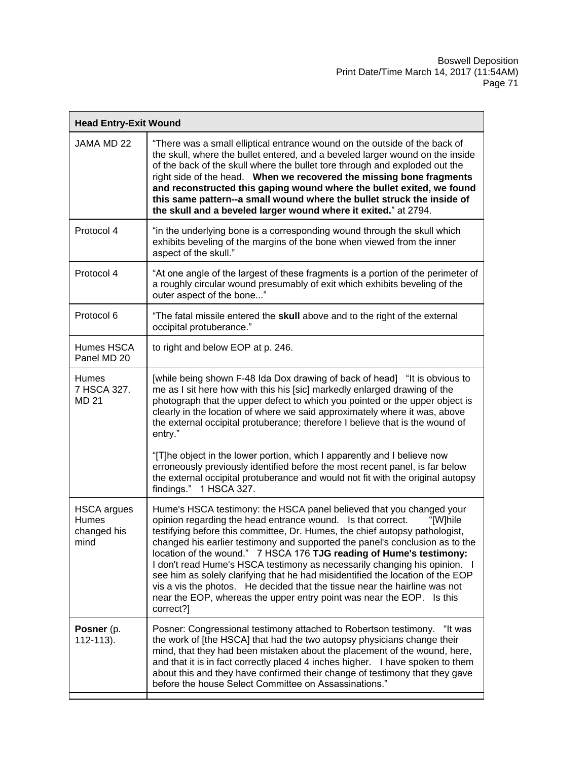| <b>Head Entry-Exit Wound</b>                              |                                                                                                                                                                                                                                                                                                                                                                                                                                                                                                                                                                                                                                                                                                                          |  |
|-----------------------------------------------------------|--------------------------------------------------------------------------------------------------------------------------------------------------------------------------------------------------------------------------------------------------------------------------------------------------------------------------------------------------------------------------------------------------------------------------------------------------------------------------------------------------------------------------------------------------------------------------------------------------------------------------------------------------------------------------------------------------------------------------|--|
| JAMA MD 22                                                | "There was a small elliptical entrance wound on the outside of the back of<br>the skull, where the bullet entered, and a beveled larger wound on the inside<br>of the back of the skull where the bullet tore through and exploded out the<br>right side of the head. When we recovered the missing bone fragments<br>and reconstructed this gaping wound where the bullet exited, we found<br>this same pattern--a small wound where the bullet struck the inside of<br>the skull and a beveled larger wound where it exited." at 2794.                                                                                                                                                                                 |  |
| Protocol 4                                                | "in the underlying bone is a corresponding wound through the skull which<br>exhibits beveling of the margins of the bone when viewed from the inner<br>aspect of the skull."                                                                                                                                                                                                                                                                                                                                                                                                                                                                                                                                             |  |
| Protocol 4                                                | "At one angle of the largest of these fragments is a portion of the perimeter of<br>a roughly circular wound presumably of exit which exhibits beveling of the<br>outer aspect of the bone"                                                                                                                                                                                                                                                                                                                                                                                                                                                                                                                              |  |
| Protocol 6                                                | "The fatal missile entered the skull above and to the right of the external<br>occipital protuberance."                                                                                                                                                                                                                                                                                                                                                                                                                                                                                                                                                                                                                  |  |
| Humes HSCA<br>Panel MD 20                                 | to right and below EOP at p. 246.                                                                                                                                                                                                                                                                                                                                                                                                                                                                                                                                                                                                                                                                                        |  |
| Humes<br>7 HSCA 327.<br><b>MD 21</b>                      | [while being shown F-48 Ida Dox drawing of back of head] "It is obvious to<br>me as I sit here how with this his [sic] markedly enlarged drawing of the<br>photograph that the upper defect to which you pointed or the upper object is<br>clearly in the location of where we said approximately where it was, above<br>the external occipital protuberance; therefore I believe that is the wound of<br>entry."                                                                                                                                                                                                                                                                                                        |  |
|                                                           | "[T]he object in the lower portion, which I apparently and I believe now<br>erroneously previously identified before the most recent panel, is far below<br>the external occipital protuberance and would not fit with the original autopsy<br>findings." 1 HSCA 327.                                                                                                                                                                                                                                                                                                                                                                                                                                                    |  |
| <b>HSCA</b> argues<br><b>Humes</b><br>changed his<br>mind | Hume's HSCA testimony: the HSCA panel believed that you changed your<br>opinion regarding the head entrance wound. Is that correct.<br>"[W]hile<br>testifying before this committee, Dr. Humes, the chief autopsy pathologist,<br>changed his earlier testimony and supported the panel's conclusion as to the<br>location of the wound." 7 HSCA 176 TJG reading of Hume's testimony:<br>I don't read Hume's HSCA testimony as necessarily changing his opinion. I<br>see him as solely clarifying that he had misidentified the location of the EOP<br>vis a vis the photos. He decided that the tissue near the hairline was not<br>near the EOP, whereas the upper entry point was near the EOP. Is this<br>correct?] |  |
| Posner (p.<br>112-113).                                   | Posner: Congressional testimony attached to Robertson testimony. "It was<br>the work of [the HSCA] that had the two autopsy physicians change their<br>mind, that they had been mistaken about the placement of the wound, here,<br>and that it is in fact correctly placed 4 inches higher. I have spoken to them<br>about this and they have confirmed their change of testimony that they gave<br>before the house Select Committee on Assassinations."                                                                                                                                                                                                                                                               |  |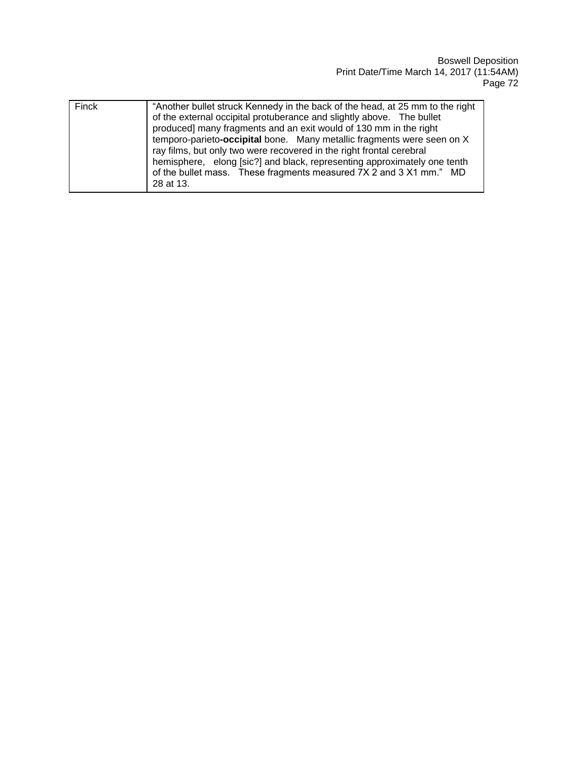| Finck | "Another bullet struck Kennedy in the back of the head, at 25 mm to the right<br>of the external occipital protuberance and slightly above. The bullet<br>produced] many fragments and an exit would of 130 mm in the right<br>temporo-parieto-occipital bone. Many metallic fragments were seen on X<br>ray films, but only two were recovered in the right frontal cerebral<br>hemisphere, elong [sic?] and black, representing approximately one tenth<br>of the bullet mass. These fragments measured 7X 2 and 3 X1 mm." MD<br>28 at 13. |
|-------|----------------------------------------------------------------------------------------------------------------------------------------------------------------------------------------------------------------------------------------------------------------------------------------------------------------------------------------------------------------------------------------------------------------------------------------------------------------------------------------------------------------------------------------------|
|-------|----------------------------------------------------------------------------------------------------------------------------------------------------------------------------------------------------------------------------------------------------------------------------------------------------------------------------------------------------------------------------------------------------------------------------------------------------------------------------------------------------------------------------------------------|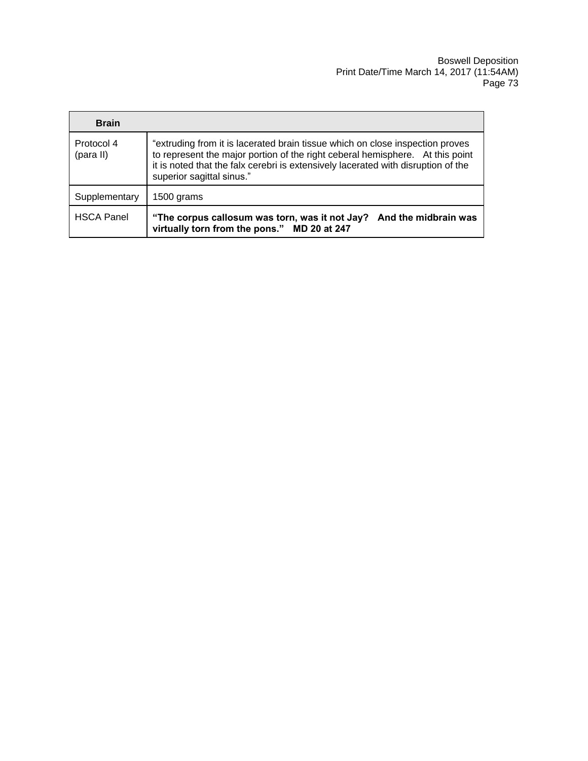| <b>Brain</b>            |                                                                                                                                                                                                                                                                                  |
|-------------------------|----------------------------------------------------------------------------------------------------------------------------------------------------------------------------------------------------------------------------------------------------------------------------------|
| Protocol 4<br>(para II) | "extruding from it is lacerated brain tissue which on close inspection proves<br>to represent the major portion of the right ceberal hemisphere. At this point<br>it is noted that the falx cerebri is extensively lacerated with disruption of the<br>superior sagittal sinus." |
| Supplementary           | 1500 grams                                                                                                                                                                                                                                                                       |
| <b>HSCA Panel</b>       | "The corpus callosum was torn, was it not Jay? And the midbrain was<br>virtually torn from the pons." MD 20 at 247                                                                                                                                                               |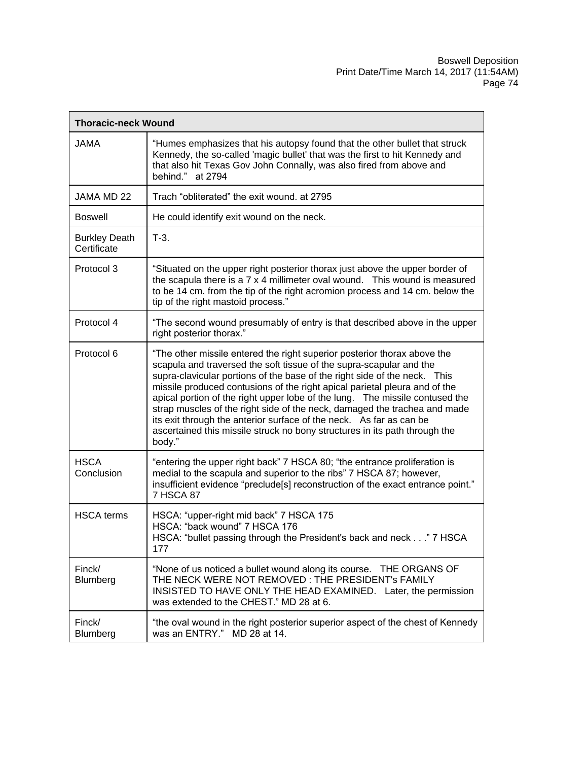| <b>Thoracic-neck Wound</b>          |                                                                                                                                                                                                                                                                                                                                                                                                                                                                                                                                                                                                                                         |  |
|-------------------------------------|-----------------------------------------------------------------------------------------------------------------------------------------------------------------------------------------------------------------------------------------------------------------------------------------------------------------------------------------------------------------------------------------------------------------------------------------------------------------------------------------------------------------------------------------------------------------------------------------------------------------------------------------|--|
| <b>JAMA</b>                         | "Humes emphasizes that his autopsy found that the other bullet that struck<br>Kennedy, the so-called 'magic bullet' that was the first to hit Kennedy and<br>that also hit Texas Gov John Connally, was also fired from above and<br>behind." at 2794                                                                                                                                                                                                                                                                                                                                                                                   |  |
| JAMA MD 22                          | Trach "obliterated" the exit wound. at 2795                                                                                                                                                                                                                                                                                                                                                                                                                                                                                                                                                                                             |  |
| <b>Boswell</b>                      | He could identify exit wound on the neck.                                                                                                                                                                                                                                                                                                                                                                                                                                                                                                                                                                                               |  |
| <b>Burkley Death</b><br>Certificate | $T-3$ .                                                                                                                                                                                                                                                                                                                                                                                                                                                                                                                                                                                                                                 |  |
| Protocol 3                          | "Situated on the upper right posterior thorax just above the upper border of<br>the scapula there is a 7 x 4 millimeter oval wound. This wound is measured<br>to be 14 cm. from the tip of the right acromion process and 14 cm. below the<br>tip of the right mastoid process."                                                                                                                                                                                                                                                                                                                                                        |  |
| Protocol 4                          | "The second wound presumably of entry is that described above in the upper<br>right posterior thorax."                                                                                                                                                                                                                                                                                                                                                                                                                                                                                                                                  |  |
| Protocol 6                          | "The other missile entered the right superior posterior thorax above the<br>scapula and traversed the soft tissue of the supra-scapular and the<br>supra-clavicular portions of the base of the right side of the neck. This<br>missile produced contusions of the right apical parietal pleura and of the<br>apical portion of the right upper lobe of the lung.  The missile contused the<br>strap muscles of the right side of the neck, damaged the trachea and made<br>its exit through the anterior surface of the neck. As far as can be<br>ascertained this missile struck no bony structures in its path through the<br>body." |  |
| <b>HSCA</b><br>Conclusion           | "entering the upper right back" 7 HSCA 80; "the entrance proliferation is<br>medial to the scapula and superior to the ribs" 7 HSCA 87; however,<br>insufficient evidence "preclude[s] reconstruction of the exact entrance point."<br>7 HSCA 87                                                                                                                                                                                                                                                                                                                                                                                        |  |
| <b>HSCA</b> terms                   | HSCA: "upper-right mid back" 7 HSCA 175<br>HSCA: "back wound" 7 HSCA 176<br>HSCA: "bullet passing through the President's back and neck" 7 HSCA<br>177                                                                                                                                                                                                                                                                                                                                                                                                                                                                                  |  |
| Finck/<br>Blumberg                  | "None of us noticed a bullet wound along its course. THE ORGANS OF<br>THE NECK WERE NOT REMOVED: THE PRESIDENT's FAMILY<br>INSISTED TO HAVE ONLY THE HEAD EXAMINED. Later, the permission<br>was extended to the CHEST." MD 28 at 6.                                                                                                                                                                                                                                                                                                                                                                                                    |  |
| Finck/<br>Blumberg                  | "the oval wound in the right posterior superior aspect of the chest of Kennedy<br>was an ENTRY." MD 28 at 14.                                                                                                                                                                                                                                                                                                                                                                                                                                                                                                                           |  |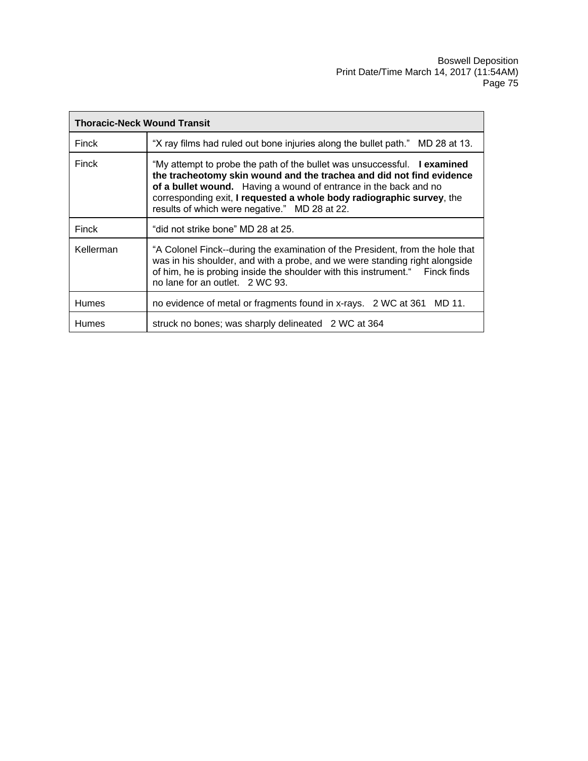| <b>Thoracic-Neck Wound Transit</b> |                                                                                                                                                                                                                                                                                                                                                |
|------------------------------------|------------------------------------------------------------------------------------------------------------------------------------------------------------------------------------------------------------------------------------------------------------------------------------------------------------------------------------------------|
| Finck                              | "X ray films had ruled out bone injuries along the bullet path." MD 28 at 13.                                                                                                                                                                                                                                                                  |
| Finck                              | "My attempt to probe the path of the bullet was unsuccessful. I examined<br>the tracheotomy skin wound and the trachea and did not find evidence<br>of a bullet wound. Having a wound of entrance in the back and no<br>corresponding exit, I requested a whole body radiographic survey, the<br>results of which were negative." MD 28 at 22. |
| Finck                              | "did not strike bone" MD 28 at 25.                                                                                                                                                                                                                                                                                                             |
| Kellerman                          | "A Colonel Finck--during the examination of the President, from the hole that<br>was in his shoulder, and with a probe, and we were standing right alongside<br>of him, he is probing inside the shoulder with this instrument." Finck finds<br>no lane for an outlet. 2 WC 93.                                                                |
| <b>Humes</b>                       | no evidence of metal or fragments found in x-rays. 2 WC at 361 MD 11.                                                                                                                                                                                                                                                                          |
| <b>Humes</b>                       | struck no bones; was sharply delineated 2 WC at 364                                                                                                                                                                                                                                                                                            |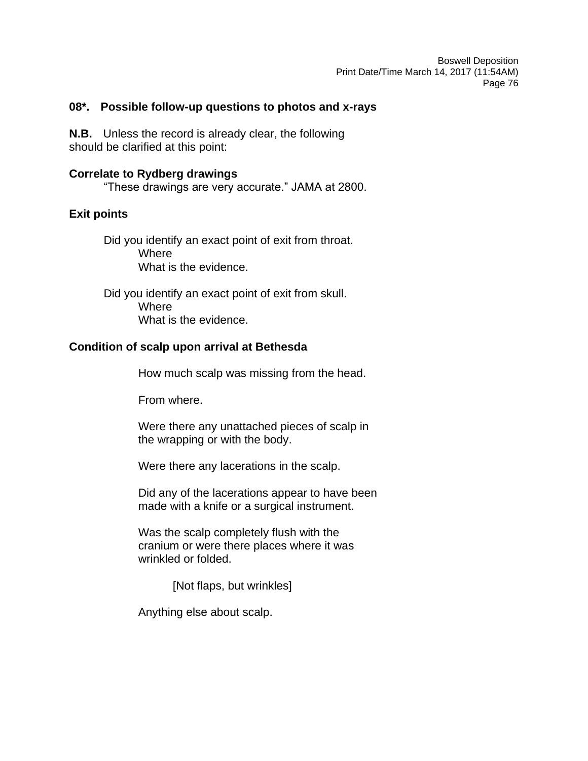## **08\*. Possible follow-up questions to photos and x-rays**

**N.B.** Unless the record is already clear, the following should be clarified at this point:

## **Correlate to Rydberg drawings**

"These drawings are very accurate." JAMA at 2800.

# **Exit points**

Did you identify an exact point of exit from throat. **Where** What is the evidence.

Did you identify an exact point of exit from skull. **Where** What is the evidence.

## **Condition of scalp upon arrival at Bethesda**

How much scalp was missing from the head.

From where.

Were there any unattached pieces of scalp in the wrapping or with the body.

Were there any lacerations in the scalp.

Did any of the lacerations appear to have been made with a knife or a surgical instrument.

Was the scalp completely flush with the cranium or were there places where it was wrinkled or folded.

[Not flaps, but wrinkles]

Anything else about scalp.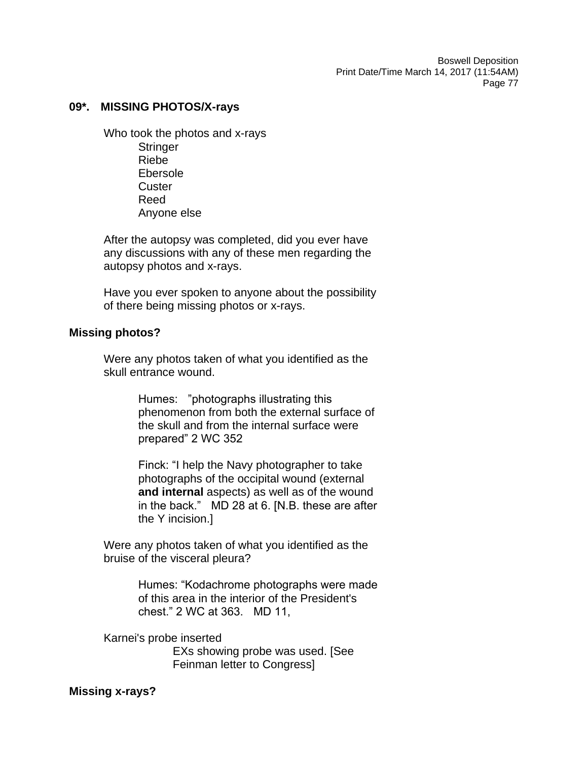### **09\*. MISSING PHOTOS/X-rays**

Who took the photos and x-rays **Stringer** Riebe Ebersole **Custer** Reed Anyone else

After the autopsy was completed, did you ever have any discussions with any of these men regarding the autopsy photos and x-rays.

Have you ever spoken to anyone about the possibility of there being missing photos or x-rays.

### **Missing photos?**

Were any photos taken of what you identified as the skull entrance wound.

> Humes: "photographs illustrating this phenomenon from both the external surface of the skull and from the internal surface were prepared" 2 WC 352

Finck: "I help the Navy photographer to take photographs of the occipital wound (external **and internal** aspects) as well as of the wound in the back." MD 28 at 6. [N.B. these are after the Y incision.]

Were any photos taken of what you identified as the bruise of the visceral pleura?

> Humes: "Kodachrome photographs were made of this area in the interior of the President's chest." 2 WC at 363. MD 11,

Karnei's probe inserted EXs showing probe was used. [See Feinman letter to Congress]

### **Missing x-rays?**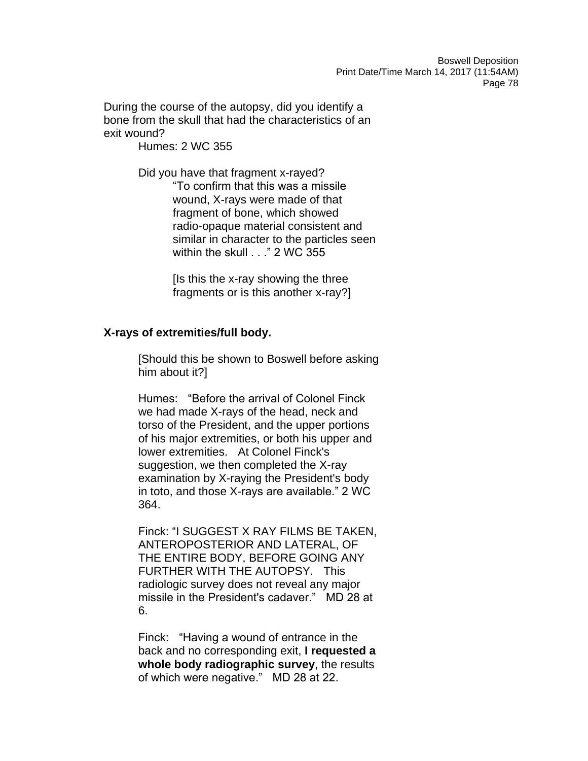During the course of the autopsy, did you identify a bone from the skull that had the characteristics of an exit wound?

Humes: 2 WC 355

Did you have that fragment x-rayed? "To confirm that this was a missile wound, X-rays were made of that fragment of bone, which showed radio-opaque material consistent and similar in character to the particles seen within the skull . . ." 2 WC 355

> [Is this the x-ray showing the three fragments or is this another x-ray?]

### **X-rays of extremities/full body.**

[Should this be shown to Boswell before asking him about it?]

Humes: "Before the arrival of Colonel Finck we had made X-rays of the head, neck and torso of the President, and the upper portions of his major extremities, or both his upper and lower extremities. At Colonel Finck's suggestion, we then completed the X-ray examination by X-raying the President's body in toto, and those X-rays are available." 2 WC 364.

Finck: "I SUGGEST X RAY FILMS BE TAKEN, ANTEROPOSTERIOR AND LATERAL, OF THE ENTIRE BODY, BEFORE GOING ANY FURTHER WITH THE AUTOPSY. This radiologic survey does not reveal any major missile in the President's cadaver." MD 28 at 6.

Finck: "Having a wound of entrance in the back and no corresponding exit, **I requested a whole body radiographic survey**, the results of which were negative." MD 28 at 22.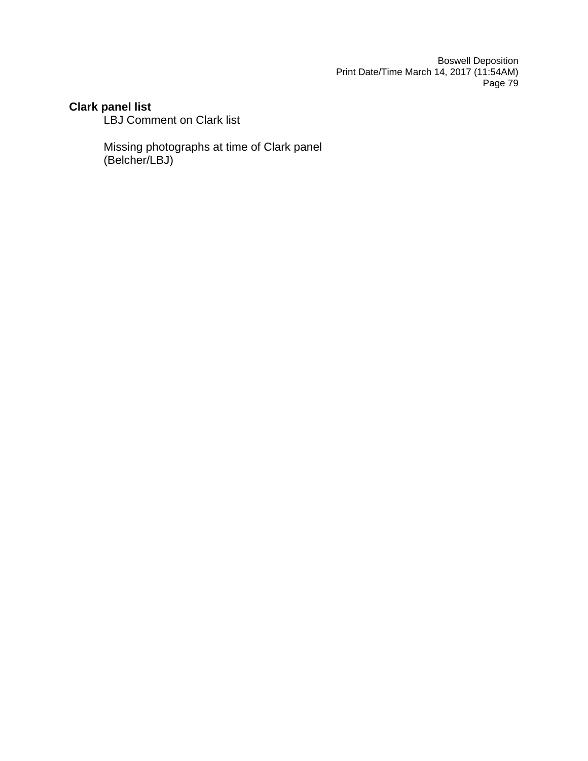# **Clark panel list**

LBJ Comment on Clark list

Missing photographs at time of Clark panel (Belcher/LBJ)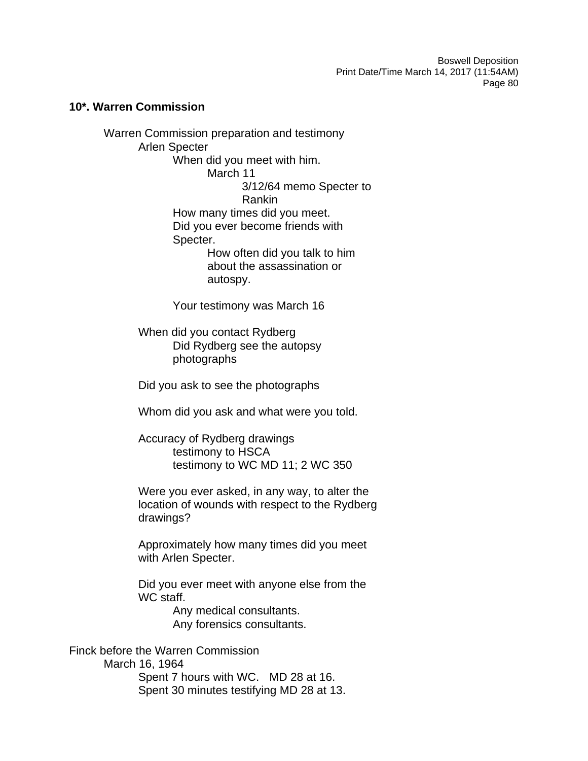### **10\*. Warren Commission**

Warren Commission preparation and testimony Arlen Specter When did you meet with him. March 11 3/12/64 memo Specter to Rankin How many times did you meet. Did you ever become friends with Specter. How often did you talk to him about the assassination or autospy. Your testimony was March 16

> When did you contact Rydberg Did Rydberg see the autopsy photographs

> Did you ask to see the photographs

Whom did you ask and what were you told.

Accuracy of Rydberg drawings testimony to HSCA testimony to WC MD 11; 2 WC 350

Were you ever asked, in any way, to alter the location of wounds with respect to the Rydberg drawings?

Approximately how many times did you meet with Arlen Specter.

Did you ever meet with anyone else from the WC staff.

> Any medical consultants. Any forensics consultants.

Finck before the Warren Commission March 16, 1964 Spent 7 hours with WC. MD 28 at 16. Spent 30 minutes testifying MD 28 at 13.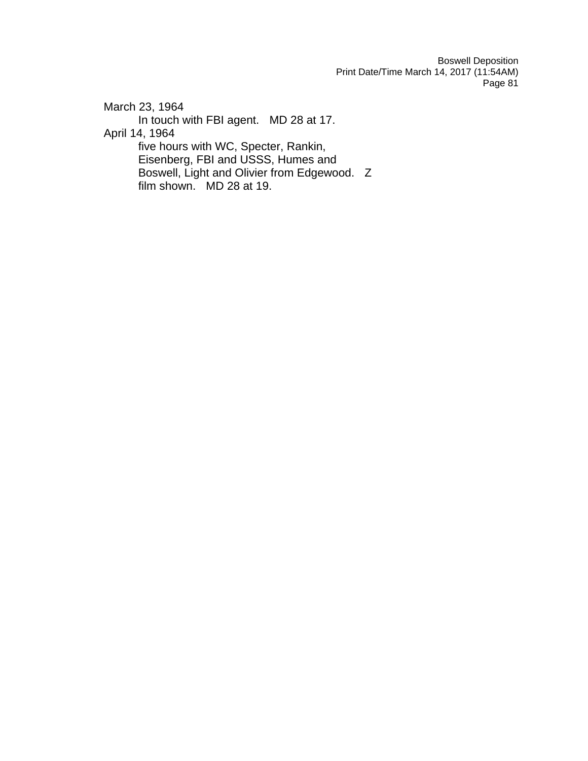March 23, 1964 In touch with FBI agent. MD 28 at 17. April 14, 1964 five hours with WC, Specter, Rankin, Eisenberg, FBI and USSS, Humes and Boswell, Light and Olivier from Edgewood. Z film shown. MD 28 at 19.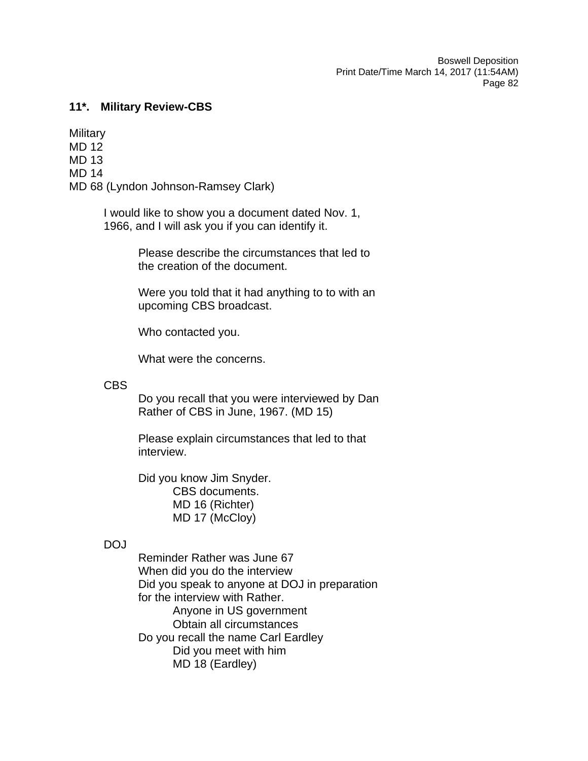### **11\*. Military Review-CBS**

**Military** MD 12 MD 13 MD 14 MD 68 (Lyndon Johnson-Ramsey Clark)

> I would like to show you a document dated Nov. 1, 1966, and I will ask you if you can identify it.

> > Please describe the circumstances that led to the creation of the document.

Were you told that it had anything to to with an upcoming CBS broadcast.

Who contacted you.

What were the concerns.

CBS

Do you recall that you were interviewed by Dan Rather of CBS in June, 1967. (MD 15)

Please explain circumstances that led to that interview.

Did you know Jim Snyder. CBS documents. MD 16 (Richter) MD 17 (McCloy)

# DOJ

Reminder Rather was June 67 When did you do the interview Did you speak to anyone at DOJ in preparation for the interview with Rather. Anyone in US government Obtain all circumstances Do you recall the name Carl Eardley Did you meet with him MD 18 (Eardley)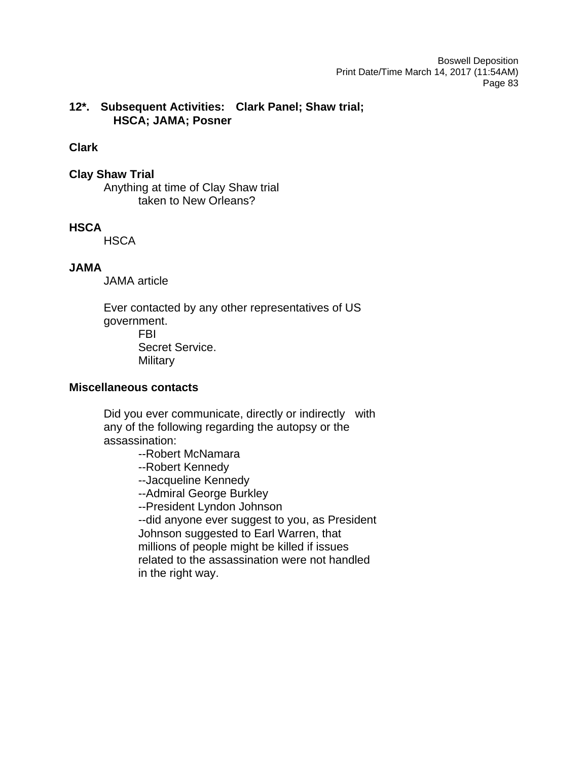# **12\*. Subsequent Activities: Clark Panel; Shaw trial; HSCA; JAMA; Posner**

### **Clark**

# **Clay Shaw Trial**

Anything at time of Clay Shaw trial taken to New Orleans?

## **HSCA**

**HSCA** 

## **JAMA**

JAMA article

Ever contacted by any other representatives of US government. FBI Secret Service. **Military** 

# **Miscellaneous contacts**

Did you ever communicate, directly or indirectly with any of the following regarding the autopsy or the assassination:

--Robert McNamara

- --Robert Kennedy
- --Jacqueline Kennedy
- --Admiral George Burkley

--President Lyndon Johnson

--did anyone ever suggest to you, as President Johnson suggested to Earl Warren, that millions of people might be killed if issues related to the assassination were not handled in the right way.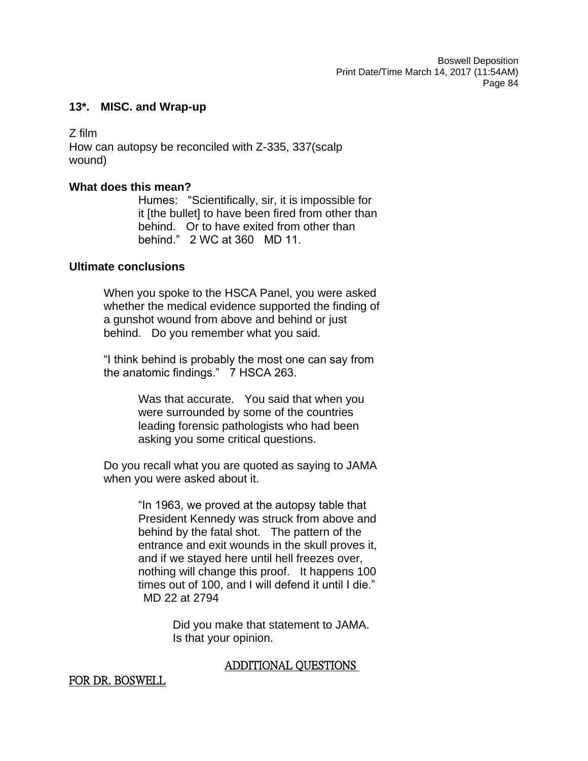### **13\*. MISC. and Wrap-up**

Z film How can autopsy be reconciled with Z-335, 337(scalp wound)

### **What does this mean?**

Humes: "Scientifically, sir, it is impossible for it [the bullet] to have been fired from other than behind. Or to have exited from other than behind." 2 WC at 360 MD 11.

### **Ultimate conclusions**

When you spoke to the HSCA Panel, you were asked whether the medical evidence supported the finding of a gunshot wound from above and behind or just behind. Do you remember what you said.

"I think behind is probably the most one can say from the anatomic findings." 7 HSCA 263.

> Was that accurate. You said that when you were surrounded by some of the countries leading forensic pathologists who had been asking you some critical questions.

Do you recall what you are quoted as saying to JAMA when you were asked about it.

> "In 1963, we proved at the autopsy table that President Kennedy was struck from above and behind by the fatal shot. The pattern of the entrance and exit wounds in the skull proves it, and if we stayed here until hell freezes over, nothing will change this proof. It happens 100 times out of 100, and I will defend it until I die." MD 22 at 2794

> > Did you make that statement to JAMA. Is that your opinion.

# ADDITIONAL QUESTIONS

# FOR DR. BOSWELL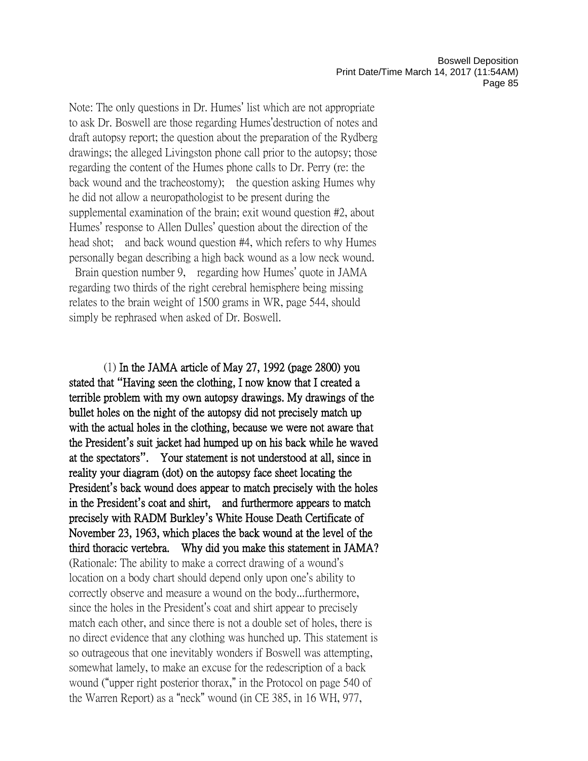Note: The only questions in Dr. Humes' list which are not appropriate to ask Dr. Boswell are those regarding Humes'destruction of notes and draft autopsy report; the question about the preparation of the Rydberg drawings; the alleged Livingston phone call prior to the autopsy; those regarding the content of the Humes phone calls to Dr. Perry (re: the back wound and the tracheostomy); the question asking Humes why he did not allow a neuropathologist to be present during the supplemental examination of the brain; exit wound question #2, about Humes' response to Allen Dulles' question about the direction of the head shot; and back wound question #4, which refers to why Humes personally began describing a high back wound as a low neck wound. Brain question number 9, regarding how Humes' quote in JAMA regarding two thirds of the right cerebral hemisphere being missing

relates to the brain weight of 1500 grams in WR, page 544, should simply be rephrased when asked of Dr. Boswell.

(1) In the JAMA article of May 27, 1992 (page 2800) you stated that **"**Having seen the clothing, I now know that I created a terrible problem with my own autopsy drawings. My drawings of the bullet holes on the night of the autopsy did not precisely match up with the actual holes in the clothing, because we were not aware that the President**'**s suit jacket had humped up on his back while he waved at the spectators**"**. Your statement is not understood at all, since in reality your diagram (dot) on the autopsy face sheet locating the President**'**s back wound does appear to match precisely with the holes in the President**'**s coat and shirt, and furthermore appears to match precisely with RADM Burkley**'**s White House Death Certificate of November 23, 1963, which places the back wound at the level of the third thoracic vertebra. Why did you make this statement in JAMA? (Rationale: The ability to make a correct drawing of a wound's location on a body chart should depend only upon one's ability to correctly observe and measure a wound on the body...furthermore, since the holes in the President's coat and shirt appear to precisely match each other, and since there is not a double set of holes, there is no direct evidence that any clothing was hunched up. This statement is so outrageous that one inevitably wonders if Boswell was attempting, somewhat lamely, to make an excuse for the redescription of a back wound ("upper right posterior thorax," in the Protocol on page 540 of the Warren Report) as a "neck" wound (in CE 385, in 16 WH, 977,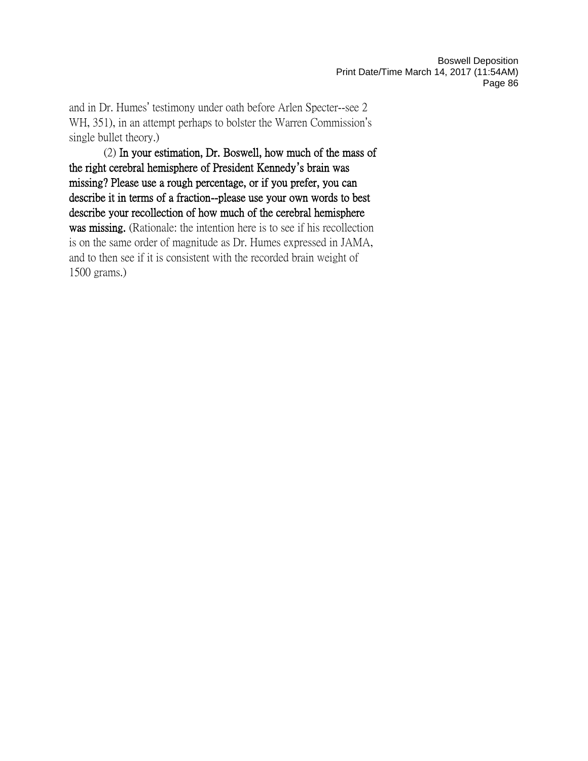and in Dr. Humes' testimony under oath before Arlen Specter--see 2 WH, 351), in an attempt perhaps to bolster the Warren Commission's single bullet theory.)

(2) In your estimation, Dr. Boswell, how much of the mass of the right cerebral hemisphere of President Kennedy**'**s brain was missing? Please use a rough percentage, or if you prefer, you can describe it in terms of a fraction--please use your own words to best describe your recollection of how much of the cerebral hemisphere was missing. (Rationale: the intention here is to see if his recollection is on the same order of magnitude as Dr. Humes expressed in JAMA, and to then see if it is consistent with the recorded brain weight of 1500 grams.)